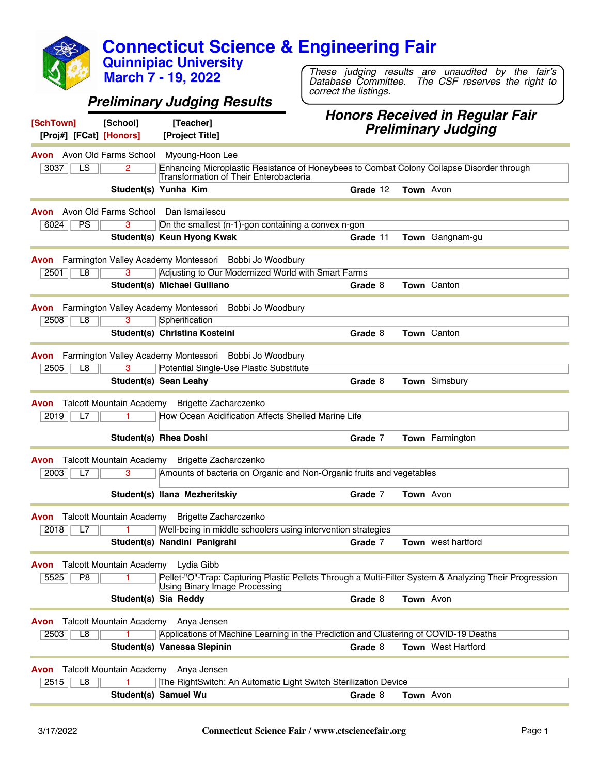**Connecticut Science & Engineering Fair Quinnipiac University**

*Preliminary Judging Results*

**March 7 - 19, 2022**

**[SchTown] [School] [Teacher]**

#### *Honors Received in Regular Fair Preliminary Judging*

*These judging results are unaudited by the fair's Database Committee. The CSF reserves the right to*

*correct the listings.*

| <b>Pielininial y Juuging</b><br>[Proj#] [FCat] [Honors]<br>[Project Title]                                                                                                 |  |
|----------------------------------------------------------------------------------------------------------------------------------------------------------------------------|--|
| <b>Avon</b> Avon Old Farms School<br>Myoung-Hoon Lee                                                                                                                       |  |
| $\overline{LS}$<br>3037<br>2<br>Enhancing Microplastic Resistance of Honeybees to Combat Colony Collapse Disorder through<br><b>Transformation of Their Enterobacteria</b> |  |
| Student(s) Yunha Kim<br>Grade 12<br>Town Avon                                                                                                                              |  |
| Avon Old Farms School<br>Dan Ismailescu<br>Avon                                                                                                                            |  |
| PS<br>6024<br>3<br>On the smallest (n-1)-gon containing a convex n-gon                                                                                                     |  |
| Student(s) Keun Hyong Kwak<br>Town Gangnam-gu<br>Grade 11                                                                                                                  |  |
| Farmington Valley Academy Montessori Bobbi Jo Woodbury<br>Avon                                                                                                             |  |
| Adjusting to Our Modernized World with Smart Farms<br>2501<br>L <sub>8</sub><br>3                                                                                          |  |
| Student(s) Michael Guiliano<br><b>Town</b> Canton<br>Grade 8                                                                                                               |  |
| Farmington Valley Academy Montessori<br>Bobbi Jo Woodbury<br>Avon                                                                                                          |  |
| L8<br>3<br>Spherification<br>2508                                                                                                                                          |  |
| Student(s) Christina Kostelni<br>Town Canton<br>Grade 8                                                                                                                    |  |
| Farmington Valley Academy Montessori<br>Bobbi Jo Woodbury<br>Avon                                                                                                          |  |
| Potential Single-Use Plastic Substitute<br>2505<br>L8<br>3                                                                                                                 |  |
| Student(s) Sean Leahy<br>Town Simsbury<br>Grade 8                                                                                                                          |  |
| <b>Talcott Mountain Academy</b><br>Brigette Zacharczenko<br>Avon                                                                                                           |  |
| How Ocean Acidification Affects Shelled Marine Life<br>2019<br>L7                                                                                                          |  |
|                                                                                                                                                                            |  |
| <b>Student(s) Rhea Doshi</b><br>Town Farmington<br>Grade 7                                                                                                                 |  |
| <b>Talcott Mountain Academy</b><br>Brigette Zacharczenko<br>Avon                                                                                                           |  |
| Amounts of bacteria on Organic and Non-Organic fruits and vegetables<br>2003<br>3<br>L7                                                                                    |  |
| Student(s) Ilana Mezheritskiy<br>Town Avon<br>Grade 7                                                                                                                      |  |
| <b>Talcott Mountain Academy</b><br>Brigette Zacharczenko<br>Avon                                                                                                           |  |
| 2018<br>Well-being in middle schoolers using intervention strategies<br>L7                                                                                                 |  |
| Student(s) Nandini Panigrahi<br><b>Town</b> west hartford<br>Grade 7                                                                                                       |  |
| Talcott Mountain Academy<br>Lydia Gibb<br>Avon                                                                                                                             |  |
| Pellet-"O"-Trap: Capturing Plastic Pellets Through a Multi-Filter System & Analyzing Their Progression<br>5525<br>P8<br>Using Binary Image Processing                      |  |
| Student(s) Sia Reddy<br>Grade 8<br>Town Avon                                                                                                                               |  |
|                                                                                                                                                                            |  |
| Talcott Mountain Academy Anya Jensen<br>Avon                                                                                                                               |  |
| 2503<br>L8<br>Applications of Machine Learning in the Prediction and Clustering of COVID-19 Deaths                                                                         |  |
| Student(s) Vanessa Slepinin<br>Town West Hartford<br>Grade 8                                                                                                               |  |
| Talcott Mountain Academy Anya Jensen<br>Avon                                                                                                                               |  |
| 2515<br>L8<br>The RightSwitch: An Automatic Light Switch Sterilization Device                                                                                              |  |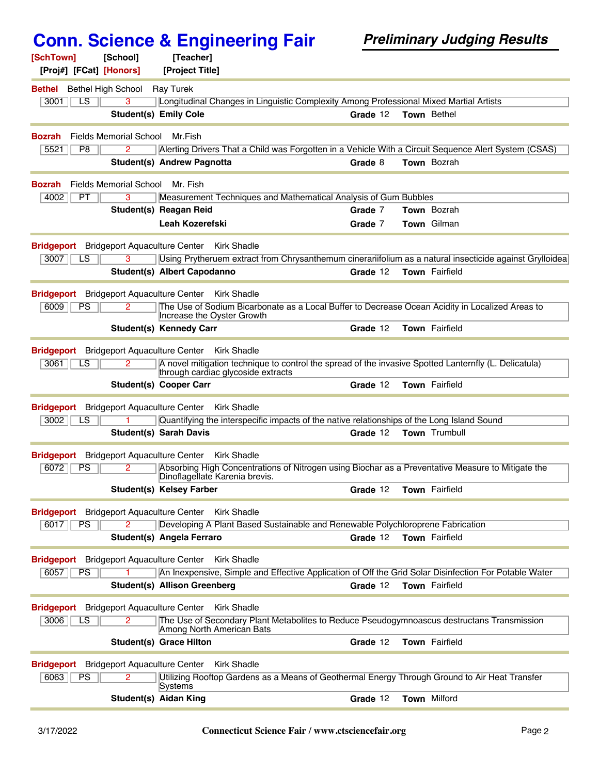| [SchTown]                                                   | [School]                             | [Teacher]                           |                                                                                                                                     |          |                                                                                                         |
|-------------------------------------------------------------|--------------------------------------|-------------------------------------|-------------------------------------------------------------------------------------------------------------------------------------|----------|---------------------------------------------------------------------------------------------------------|
| [Proj#] [FCat] [Honors]                                     |                                      | [Project Title]                     |                                                                                                                                     |          |                                                                                                         |
| <b>Bethel</b> Bethel High School                            |                                      | <b>Ray Turek</b>                    |                                                                                                                                     |          |                                                                                                         |
| 3001<br>LS                                                  | 3                                    |                                     | Longitudinal Changes in Linguistic Complexity Among Professional Mixed Martial Artists                                              |          |                                                                                                         |
|                                                             |                                      | <b>Student(s) Emily Cole</b>        |                                                                                                                                     | Grade 12 | Town Bethel                                                                                             |
| Bozrah                                                      | Fields Memorial School               | Mr.Fish                             |                                                                                                                                     |          |                                                                                                         |
| 5521<br>P <sub>8</sub>                                      | 2                                    |                                     |                                                                                                                                     |          | Alerting Drivers That a Child was Forgotten in a Vehicle With a Circuit Sequence Alert System (CSAS)    |
|                                                             |                                      | Student(s) Andrew Pagnotta          |                                                                                                                                     | Grade 8  | Town Bozrah                                                                                             |
|                                                             |                                      |                                     |                                                                                                                                     |          |                                                                                                         |
| <b>Bozrah</b>                                               | Fields Memorial School               | Mr. Fish                            |                                                                                                                                     |          |                                                                                                         |
| 4002<br>PT                                                  | 3                                    |                                     | Measurement Techniques and Mathematical Analysis of Gum Bubbles                                                                     |          |                                                                                                         |
|                                                             |                                      | Student(s) Reagan Reid              |                                                                                                                                     | Grade 7  | Town Bozrah                                                                                             |
|                                                             |                                      | <b>Leah Kozerefski</b>              |                                                                                                                                     | Grade 7  | Town Gilman                                                                                             |
| Bridgeport Bridgeport Aquaculture Center Kirk Shadle        |                                      |                                     |                                                                                                                                     |          |                                                                                                         |
| 3007<br>LS                                                  | 3                                    |                                     |                                                                                                                                     |          | Using Prytheruem extract from Chrysanthemum cinerariifolium as a natural insecticide against Grylloidea |
|                                                             |                                      | Student(s) Albert Capodanno         |                                                                                                                                     | Grade 12 | Town Fairfield                                                                                          |
| <b>Bridgeport</b> Bridgeport Aquaculture Center Kirk Shadle |                                      |                                     |                                                                                                                                     |          |                                                                                                         |
| 6009<br>PS                                                  |                                      |                                     | The Use of Sodium Bicarbonate as a Local Buffer to Decrease Ocean Acidity in Localized Areas to                                     |          |                                                                                                         |
|                                                             |                                      |                                     | Increase the Oyster Growth                                                                                                          |          |                                                                                                         |
|                                                             |                                      | <b>Student(s) Kennedy Carr</b>      |                                                                                                                                     | Grade 12 | Town Fairfield                                                                                          |
| <b>Bridgeport</b>                                           | <b>Bridgeport Aquaculture Center</b> |                                     | Kirk Shadle                                                                                                                         |          |                                                                                                         |
| 3061<br>LS                                                  | 2                                    |                                     | A novel mitigation technique to control the spread of the invasive Spotted Lanternfly (L. Delicatula)                               |          |                                                                                                         |
|                                                             |                                      |                                     | through cardiac glycoside extracts                                                                                                  |          |                                                                                                         |
|                                                             |                                      | <b>Student(s) Cooper Carr</b>       |                                                                                                                                     | Grade 12 | Town Fairfield                                                                                          |
| <b>Bridgeport</b> Bridgeport Aquaculture Center             |                                      |                                     | <b>Kirk Shadle</b>                                                                                                                  |          |                                                                                                         |
| 3002<br>LS.                                                 |                                      |                                     | Quantifying the interspecific impacts of the native relationships of the Long Island Sound                                          |          |                                                                                                         |
|                                                             |                                      | <b>Student(s) Sarah Davis</b>       |                                                                                                                                     | Grade 12 | Town Trumbull                                                                                           |
|                                                             |                                      |                                     |                                                                                                                                     |          |                                                                                                         |
| <b>Bridgeport</b> Bridgeport Aquaculture Center             |                                      |                                     | <b>Kirk Shadle</b>                                                                                                                  |          |                                                                                                         |
| 6072<br>PS                                                  | $\overline{2}$                       |                                     | Absorbing High Concentrations of Nitrogen using Biochar as a Preventative Measure to Mitigate the<br>Dinoflagellate Karenia brevis. |          |                                                                                                         |
|                                                             |                                      | <b>Student(s) Kelsey Farber</b>     |                                                                                                                                     | Grade 12 | <b>Town</b> Fairfield                                                                                   |
| <b>Bridgeport</b> Bridgeport Aquaculture Center             |                                      |                                     | <b>Kirk Shadle</b>                                                                                                                  |          |                                                                                                         |
| 6017<br>PS                                                  |                                      |                                     | Developing A Plant Based Sustainable and Renewable Polychloroprene Fabrication                                                      |          |                                                                                                         |
|                                                             |                                      | Student(s) Angela Ferraro           |                                                                                                                                     | Grade 12 | Town Fairfield                                                                                          |
| <b>Bridgeport</b> Bridgeport Aquaculture Center             |                                      |                                     | <b>Kirk Shadle</b>                                                                                                                  |          |                                                                                                         |
| 6057<br>PS                                                  |                                      |                                     | An Inexpensive, Simple and Effective Application of Off the Grid Solar Disinfection For Potable Water                               |          |                                                                                                         |
|                                                             |                                      | <b>Student(s) Allison Greenberg</b> |                                                                                                                                     | Grade 12 | Town Fairfield                                                                                          |
|                                                             |                                      |                                     |                                                                                                                                     |          |                                                                                                         |
| <b>Bridgeport</b> Bridgeport Aquaculture Center             |                                      |                                     | <b>Kirk Shadle</b>                                                                                                                  |          |                                                                                                         |
| 3006<br>LS                                                  | $\overline{2}$                       |                                     | The Use of Secondary Plant Metabolites to Reduce Pseudogymnoascus destructans Transmission<br>Among North American Bats             |          |                                                                                                         |
|                                                             |                                      | Student(s) Grace Hilton             |                                                                                                                                     | Grade 12 | Town Fairfield                                                                                          |
|                                                             |                                      |                                     |                                                                                                                                     |          |                                                                                                         |
| <b>Bridgeport</b> Bridgeport Aquaculture Center             |                                      |                                     | <b>Kirk Shadle</b>                                                                                                                  |          |                                                                                                         |
| 6063<br>PS                                                  | 2                                    | Systems                             | Utilizing Rooftop Gardens as a Means of Geothermal Energy Through Ground to Air Heat Transfer                                       |          |                                                                                                         |
|                                                             |                                      | Student(s) Aidan King               |                                                                                                                                     | Grade 12 | Town Milford                                                                                            |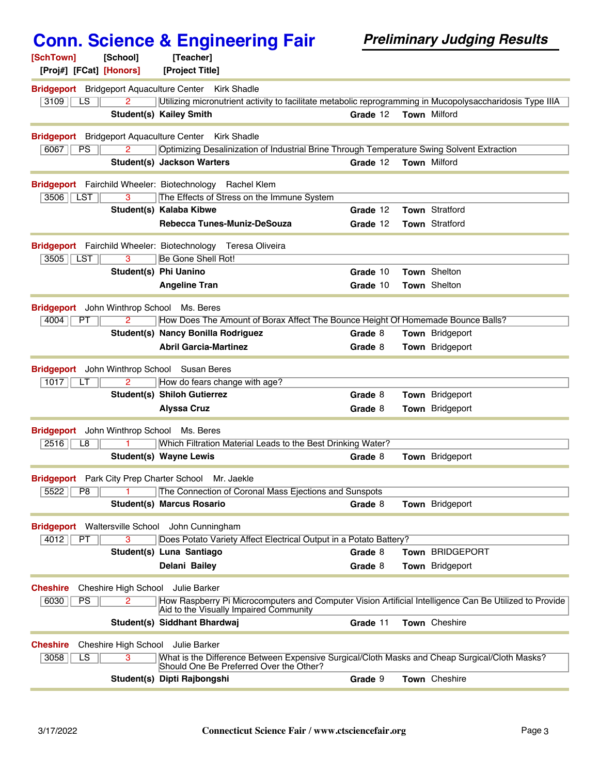|                                                             | <b>Conn. Science &amp; Engineering Fair</b>                                                                                                      |          | <b>Preliminary Judging Results</b> |
|-------------------------------------------------------------|--------------------------------------------------------------------------------------------------------------------------------------------------|----------|------------------------------------|
| [SchTown]<br>[School]                                       | [Teacher]                                                                                                                                        |          |                                    |
| [Proj#] [FCat] [Honors]                                     | [Project Title]                                                                                                                                  |          |                                    |
| <b>Bridgeport</b> Bridgeport Aquaculture Center Kirk Shadle |                                                                                                                                                  |          |                                    |
| 3109<br>LS<br>2                                             | Utilizing micronutrient activity to facilitate metabolic reprogramming in Mucopolysaccharidosis Type IIIA                                        |          |                                    |
|                                                             | <b>Student(s) Kailey Smith</b>                                                                                                                   | Grade 12 | <b>Town Milford</b>                |
| Bridgeport Bridgeport Aquaculture Center Kirk Shadle        |                                                                                                                                                  |          |                                    |
| 6067<br><b>PS</b><br>2                                      | Optimizing Desalinization of Industrial Brine Through Temperature Swing Solvent Extraction                                                       |          |                                    |
|                                                             | <b>Student(s) Jackson Warters</b>                                                                                                                | Grade 12 | Town Milford                       |
| Bridgeport Fairchild Wheeler: Biotechnology Rachel Klem     |                                                                                                                                                  |          |                                    |
| 3506   LST<br>3                                             | The Effects of Stress on the Immune System                                                                                                       |          |                                    |
|                                                             | Student(s) Kalaba Kibwe                                                                                                                          | Grade 12 | Town Stratford                     |
|                                                             | Rebecca Tunes-Muniz-DeSouza                                                                                                                      | Grade 12 | Town Stratford                     |
|                                                             | Bridgeport Fairchild Wheeler: Biotechnology Teresa Oliveira                                                                                      |          |                                    |
| $\overline{3}$<br>3505<br><b>LST</b>                        | Be Gone Shell Rot!                                                                                                                               |          |                                    |
|                                                             | Student(s) Phi Uanino                                                                                                                            | Grade 10 | Town Shelton                       |
|                                                             | <b>Angeline Tran</b>                                                                                                                             | Grade 10 | Town Shelton                       |
| <b>Bridgeport</b> John Winthrop School                      | Ms. Beres                                                                                                                                        |          |                                    |
| 4004<br>PT<br>2                                             | How Does The Amount of Borax Affect The Bounce Height Of Homemade Bounce Balls?                                                                  |          |                                    |
|                                                             | Student(s) Nancy Bonilla Rodriguez                                                                                                               | Grade 8  | Town Bridgeport                    |
|                                                             | <b>Abril Garcia-Martinez</b>                                                                                                                     | Grade 8  | Town Bridgeport                    |
| <b>Bridgeport</b>                                           | John Winthrop School Susan Beres                                                                                                                 |          |                                    |
| 1017<br>$\overline{2}$<br>LT.                               | How do fears change with age?                                                                                                                    |          |                                    |
|                                                             | <b>Student(s) Shiloh Gutierrez</b>                                                                                                               | Grade 8  | Town Bridgeport                    |
|                                                             | <b>Alyssa Cruz</b>                                                                                                                               | Grade 8  | <b>Town</b> Bridgeport             |
|                                                             |                                                                                                                                                  |          |                                    |
| Bridgeport John Winthrop School Ms. Beres                   |                                                                                                                                                  |          |                                    |
| 2516<br>L8                                                  | Which Filtration Material Leads to the Best Drinking Water?                                                                                      |          |                                    |
|                                                             | <b>Student(s) Wayne Lewis</b>                                                                                                                    | Grade 8  | Town Bridgeport                    |
| <b>Bridgeport</b> Park City Prep Charter School             | Mr. Jaekle                                                                                                                                       |          |                                    |
| 5522<br>P <sub>8</sub>                                      | The Connection of Coronal Mass Ejections and Sunspots                                                                                            |          |                                    |
|                                                             | <b>Student(s) Marcus Rosario</b>                                                                                                                 | Grade 8  | Town Bridgeport                    |
| Bridgeport Waltersville School John Cunningham              |                                                                                                                                                  |          |                                    |
| 3<br>4012<br>PT                                             | Does Potato Variety Affect Electrical Output in a Potato Battery?                                                                                |          |                                    |
|                                                             | Student(s) Luna Santiago                                                                                                                         | Grade 8  | Town BRIDGEPORT                    |
|                                                             | Delani Bailey                                                                                                                                    | Grade 8  | <b>Town</b> Bridgeport             |
| Cheshire High School Julie Barker<br><b>Cheshire</b>        |                                                                                                                                                  |          |                                    |
| 6030<br>PS<br>2                                             | How Raspberry Pi Microcomputers and Computer Vision Artificial Intelligence Can Be Utilized to Provide<br>Aid to the Visually Impaired Community |          |                                    |
|                                                             | Student(s) Siddhant Bhardwaj                                                                                                                     | Grade 11 | Town Cheshire                      |
| Cheshire High School Julie Barker<br><b>Cheshire</b>        |                                                                                                                                                  |          |                                    |
| 3058<br>$\overline{\text{LS}}$<br>3                         | What is the Difference Between Expensive Surgical/Cloth Masks and Cheap Surgical/Cloth Masks?<br>Should One Be Preferred Over the Other?         |          |                                    |
|                                                             | Student(s) Dipti Rajbongshi                                                                                                                      | Grade 9  | Town Cheshire                      |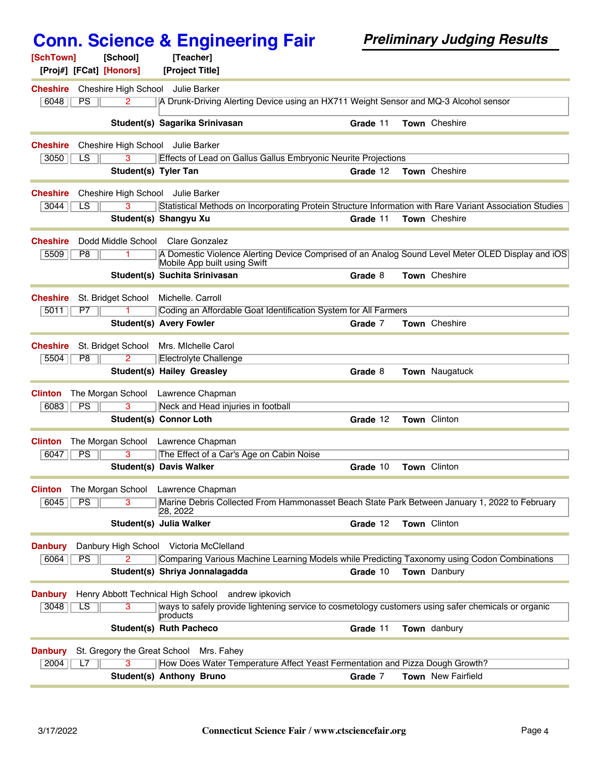| [SchTown]<br>[Proj#] [FCat] [Honors] | [School]               | [Teacher]<br>[Project Title]                                                                                                      |          |                    |
|--------------------------------------|------------------------|-----------------------------------------------------------------------------------------------------------------------------------|----------|--------------------|
|                                      |                        |                                                                                                                                   |          |                    |
| <b>Cheshire</b><br>6048<br>PS        | $\overline{2}$         | Cheshire High School Julie Barker<br>A Drunk-Driving Alerting Device using an HX711 Weight Sensor and MQ-3 Alcohol sensor         |          |                    |
|                                      |                        |                                                                                                                                   |          |                    |
|                                      |                        | Student(s) Sagarika Srinivasan                                                                                                    | Grade 11 | Town Cheshire      |
| <b>Cheshire</b>                      |                        | Cheshire High School Julie Barker                                                                                                 |          |                    |
| 3050<br>LS                           | 3                      | Effects of Lead on Gallus Gallus Embryonic Neurite Projections                                                                    |          |                    |
|                                      | Student(s) Tyler Tan   |                                                                                                                                   | Grade 12 | Town Cheshire      |
| <b>Cheshire</b>                      |                        | Cheshire High School Julie Barker                                                                                                 |          |                    |
| 3044<br>LS                           | 3                      | Statistical Methods on Incorporating Protein Structure Information with Rare Variant Association Studies                          |          |                    |
|                                      |                        | Student(s) Shangyu Xu                                                                                                             | Grade 11 | Town Cheshire      |
| <b>Cheshire</b>                      | Dodd Middle School     | Clare Gonzalez                                                                                                                    |          |                    |
| 5509<br>P8                           |                        | A Domestic Violence Alerting Device Comprised of an Analog Sound Level Meter OLED Display and iOS<br>Mobile App built using Swift |          |                    |
|                                      |                        | Student(s) Suchita Srinivasan                                                                                                     | Grade 8  | Town Cheshire      |
| <b>Cheshire</b>                      | St. Bridget School     | Michelle, Carroll                                                                                                                 |          |                    |
| 5011<br>P7                           |                        | Coding an Affordable Goat Identification System for All Farmers                                                                   |          |                    |
|                                      |                        | <b>Student(s) Avery Fowler</b>                                                                                                    | Grade 7  | Town Cheshire      |
| <b>Cheshire</b>                      | St. Bridget School     | Mrs. Michelle Carol                                                                                                               |          |                    |
| 5504<br>P <sub>8</sub>               | 2                      | Electrolyte Challenge                                                                                                             |          |                    |
|                                      |                        | <b>Student(s) Hailey Greasley</b>                                                                                                 | Grade 8  | Town Naugatuck     |
| <b>Clinton</b>                       | The Morgan School      | Lawrence Chapman                                                                                                                  |          |                    |
| PS<br>6083                           | 3                      | Neck and Head injuries in football                                                                                                |          |                    |
|                                      |                        | Student(s) Connor Loth                                                                                                            | Grade 12 | Town Clinton       |
|                                      |                        |                                                                                                                                   |          |                    |
| <b>Clinton</b><br>PS<br>6047         | The Morgan School<br>3 | Lawrence Chapman<br>The Effect of a Car's Age on Cabin Noise                                                                      |          |                    |
|                                      |                        | <b>Student(s) Davis Walker</b>                                                                                                    | Grade 10 | Town Clinton       |
|                                      |                        |                                                                                                                                   |          |                    |
| <b>Clinton</b>                       |                        | The Morgan School Lawrence Chapman                                                                                                |          |                    |
| PS<br>6045                           | 3                      | Marine Debris Collected From Hammonasset Beach State Park Between January 1, 2022 to February<br>28, 2022                         |          |                    |
|                                      |                        | Student(s) Julia Walker                                                                                                           | Grade 12 | Town Clinton       |
| <b>Danbury</b>                       |                        | Danbury High School Victoria McClelland                                                                                           |          |                    |
| 6064<br><b>PS</b>                    |                        | Comparing Various Machine Learning Models while Predicting Taxonomy using Codon Combinations                                      |          |                    |
|                                      |                        | Student(s) Shriya Jonnalagadda                                                                                                    | Grade 10 | Town Danbury       |
| <b>Danbury</b>                       |                        | Henry Abbott Technical High School andrew ipkovich                                                                                |          |                    |
| 3048<br>LS                           | 3                      | ways to safely provide lightening service to cosmetology customers using safer chemicals or organic                               |          |                    |
|                                      |                        | products<br><b>Student(s) Ruth Pacheco</b>                                                                                        | Grade 11 | Town danbury       |
| <b>Danbury</b>                       |                        | St. Gregory the Great School Mrs. Fahey                                                                                           |          |                    |
| 2004<br>L7                           |                        | How Does Water Temperature Affect Yeast Fermentation and Pizza Dough Growth?                                                      |          |                    |
|                                      |                        | Student(s) Anthony Bruno                                                                                                          | Grade 7  | Town New Fairfield |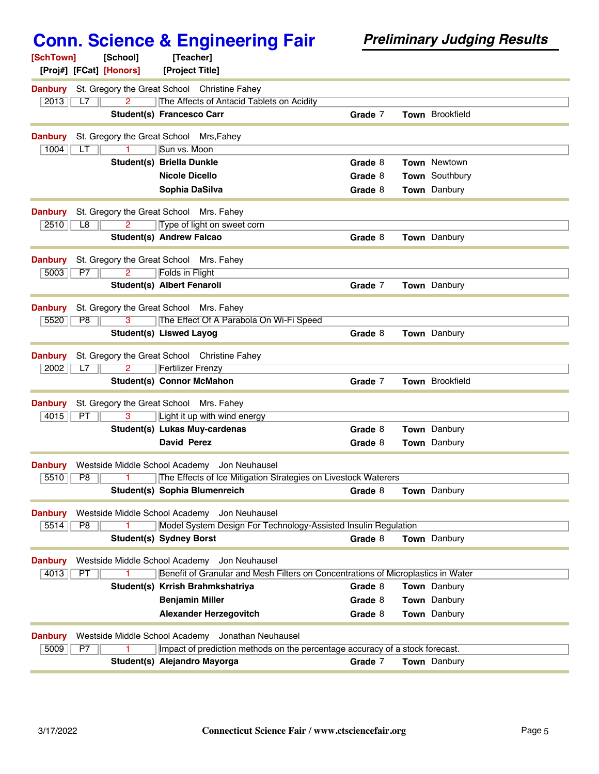| [SchTown]<br>[School]<br>[Teacher]<br>[Proj#] [FCat] [Honors]<br>[Project Title]                                                            |                                                                                  |
|---------------------------------------------------------------------------------------------------------------------------------------------|----------------------------------------------------------------------------------|
|                                                                                                                                             |                                                                                  |
| <b>Danbury</b><br>St. Gregory the Great School Christine Fahey<br>2013<br>$\overline{2}$<br>The Affects of Antacid Tablets on Acidity<br>L7 |                                                                                  |
| <b>Student(s) Francesco Carr</b>                                                                                                            | <b>Town</b> Brookfield<br>Grade 7                                                |
| <b>Danbury</b><br>St. Gregory the Great School Mrs, Fahey                                                                                   |                                                                                  |
| 1004<br>Sun vs. Moon<br>LТ                                                                                                                  |                                                                                  |
| <b>Student(s) Briella Dunkle</b>                                                                                                            | Grade 8<br><b>Town Newtown</b>                                                   |
| <b>Nicole Dicello</b>                                                                                                                       | Town Southbury<br>Grade 8                                                        |
| Sophia DaSilva                                                                                                                              | Town Danbury<br>Grade 8                                                          |
| <b>Danbury</b><br>St. Gregory the Great School Mrs. Fahey                                                                                   |                                                                                  |
| 2510<br>Type of light on sweet corn<br>L8                                                                                                   |                                                                                  |
| <b>Student(s) Andrew Falcao</b>                                                                                                             | <b>Town</b> Danbury<br>Grade 8                                                   |
| <b>Danbury</b><br>St. Gregory the Great School Mrs. Fahey                                                                                   |                                                                                  |
| 5003<br><b>Folds in Flight</b><br>P7<br>$\overline{2}$                                                                                      |                                                                                  |
| Student(s) Albert Fenaroli                                                                                                                  | Grade 7<br><b>Town</b> Danbury                                                   |
| <b>Danbury</b><br>St. Gregory the Great School Mrs. Fahey                                                                                   |                                                                                  |
| The Effect Of A Parabola On Wi-Fi Speed<br>5520<br>P8<br>3                                                                                  |                                                                                  |
| <b>Student(s) Liswed Layog</b>                                                                                                              | Grade 8<br>Town Danbury                                                          |
| <b>Danbury</b><br>St. Gregory the Great School Christine Fahey                                                                              |                                                                                  |
| $\overline{2}$<br>2002<br><b>Fertilizer Frenzy</b><br>L7                                                                                    |                                                                                  |
| <b>Student(s) Connor McMahon</b>                                                                                                            | Town Brookfield<br>Grade 7                                                       |
| <b>Danbury</b><br>St. Gregory the Great School Mrs. Fahey                                                                                   |                                                                                  |
| 3<br>Light it up with wind energy<br>4015<br>PT                                                                                             |                                                                                  |
| Student(s) Lukas Muy-cardenas                                                                                                               | Grade 8<br>Town Danbury                                                          |
| <b>David Perez</b>                                                                                                                          | Town Danbury<br>Grade 8                                                          |
| <b>Danbury</b><br>Westside Middle School Academy<br>Jon Neuhausel                                                                           |                                                                                  |
| 5510<br>P8<br>The Effects of Ice Mitigation Strategies on Livestock Waterers                                                                |                                                                                  |
| Student(s) Sophia Blumenreich                                                                                                               | <b>Town</b> Danbury<br>Grade 8                                                   |
| Westside Middle School Academy<br><b>Danbury</b><br>Jon Neuhausel                                                                           |                                                                                  |
| Model System Design For Technology-Assisted Insulin Regulation<br>5514<br>P8                                                                |                                                                                  |
| <b>Student(s) Sydney Borst</b>                                                                                                              | Grade 8<br>Town Danbury                                                          |
| Westside Middle School Academy Jon Neuhausel<br><b>Danbury</b>                                                                              |                                                                                  |
| 4013<br>PT                                                                                                                                  | Benefit of Granular and Mesh Filters on Concentrations of Microplastics in Water |
| Student(s) Krrish Brahmkshatriya                                                                                                            | Grade 8<br>Town Danbury                                                          |
| <b>Benjamin Miller</b>                                                                                                                      | Grade 8<br>Town Danbury                                                          |
| <b>Alexander Herzegovitch</b>                                                                                                               | Town Danbury<br>Grade 8                                                          |
| Westside Middle School Academy Jonathan Neuhausel<br><b>Danbury</b>                                                                         |                                                                                  |
| 5009<br>Impact of prediction methods on the percentage accuracy of a stock forecast.<br>P7                                                  |                                                                                  |
| Student(s) Alejandro Mayorga                                                                                                                | Town Danbury<br>Grade 7                                                          |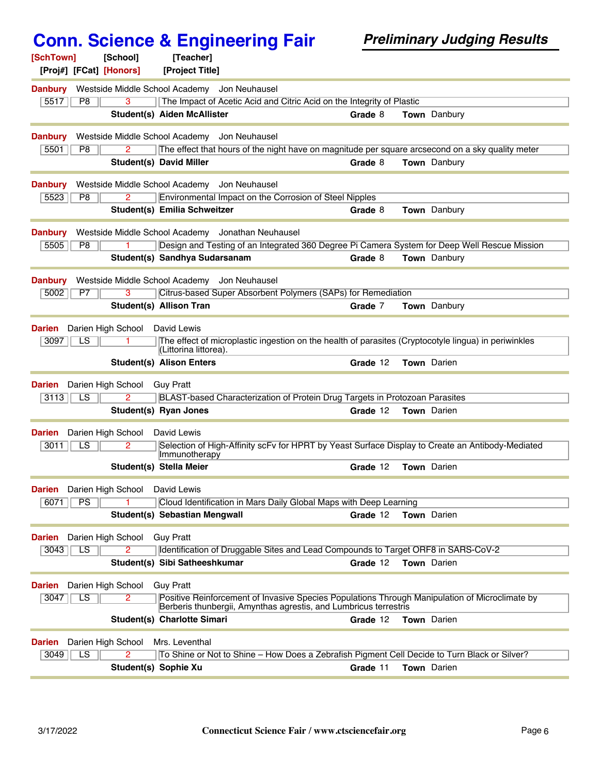| [SchTown]<br>[Proj#] [FCat] [Honors] | [School]                       | [Teacher]<br>[Project Title]                                                                                                                        |          |                     |
|--------------------------------------|--------------------------------|-----------------------------------------------------------------------------------------------------------------------------------------------------|----------|---------------------|
|                                      |                                |                                                                                                                                                     |          |                     |
| <b>Danbury</b><br>5517<br>P8         |                                | Westside Middle School Academy Jon Neuhausel<br>The Impact of Acetic Acid and Citric Acid on the Integrity of Plastic                               |          |                     |
|                                      |                                | <b>Student(s) Aiden McAllister</b>                                                                                                                  | Grade 8  | <b>Town</b> Danbury |
|                                      |                                |                                                                                                                                                     |          |                     |
| <b>Danbury</b><br>5501<br>P8         |                                | Westside Middle School Academy<br>Jon Neuhausel<br>The effect that hours of the night have on magnitude per square arcsecond on a sky quality meter |          |                     |
|                                      |                                | <b>Student(s) David Miller</b>                                                                                                                      | Grade 8  | Town Danbury        |
|                                      |                                |                                                                                                                                                     |          |                     |
| <b>Danbury</b>                       |                                | Westside Middle School Academy<br>Jon Neuhausel                                                                                                     |          |                     |
| 5523<br>P8                           | 2                              | Environmental Impact on the Corrosion of Steel Nipples                                                                                              |          |                     |
|                                      |                                | Student(s) Emilia Schweitzer                                                                                                                        | Grade 8  | Town Danbury        |
| <b>Danbury</b>                       |                                | Westside Middle School Academy Jonathan Neuhausel                                                                                                   |          |                     |
| 5505<br>P8                           |                                | Design and Testing of an Integrated 360 Degree Pi Camera System for Deep Well Rescue Mission                                                        |          |                     |
|                                      |                                | Student(s) Sandhya Sudarsanam                                                                                                                       | Grade 8  | <b>Town</b> Danbury |
| <b>Danbury</b>                       |                                | Westside Middle School Academy<br>Jon Neuhausel                                                                                                     |          |                     |
| 5002<br>P7                           | з                              | Citrus-based Super Absorbent Polymers (SAPs) for Remediation                                                                                        |          |                     |
|                                      |                                | <b>Student(s) Allison Tran</b>                                                                                                                      | Grade 7  | <b>Town</b> Danbury |
| <b>Darien</b>                        | Darien High School David Lewis |                                                                                                                                                     |          |                     |
| 3097<br>LS                           |                                | The effect of microplastic ingestion on the health of parasites (Cryptocotyle lingua) in periwinkles                                                |          |                     |
|                                      |                                | (Littorina littorea).<br><b>Student(s) Alison Enters</b>                                                                                            | Grade 12 | Town Darien         |
|                                      |                                |                                                                                                                                                     |          |                     |
| <b>Darien</b>                        | Darien High School             | <b>Guy Pratt</b>                                                                                                                                    |          |                     |
| 3113<br>LS                           | $\overline{2}$                 | BLAST-based Characterization of Protein Drug Targets in Protozoan Parasites                                                                         |          |                     |
|                                      |                                | Student(s) Ryan Jones                                                                                                                               | Grade 12 | <b>Town</b> Darien  |
| <b>Darien</b>                        | Darien High School             | David Lewis                                                                                                                                         |          |                     |
| $\overline{LS}$<br>3011              | 2                              | Selection of High-Affinity scFv for HPRT by Yeast Surface Display to Create an Antibody-Mediated<br>Immunotherapy                                   |          |                     |
|                                      |                                | Student(s) Stella Meier                                                                                                                             | Grade 12 | Town Darien         |
| <b>Darien</b> Darien High School     |                                | David Lewis                                                                                                                                         |          |                     |
| 6071<br><b>PS</b>                    |                                | Cloud Identification in Mars Daily Global Maps with Deep Learning                                                                                   |          |                     |
|                                      |                                | Student(s) Sebastian Mengwall                                                                                                                       | Grade 12 | <b>Town</b> Darien  |
| Darien                               | Darien High School             | <b>Guy Pratt</b>                                                                                                                                    |          |                     |
| 3043<br>$\overline{\text{LS}}$       | $\overline{2}$                 | Identification of Druggable Sites and Lead Compounds to Target ORF8 in SARS-CoV-2                                                                   |          |                     |
|                                      |                                | Student(s) Sibi Satheeshkumar                                                                                                                       | Grade 12 | <b>Town</b> Darien  |
|                                      |                                |                                                                                                                                                     |          |                     |
| <b>Darien</b><br>LS<br>3047          | Darien High School<br>2        | <b>Guy Pratt</b><br>Positive Reinforcement of Invasive Species Populations Through Manipulation of Microclimate by                                  |          |                     |
|                                      |                                | Berberis thunbergii, Amynthas agrestis, and Lumbricus terrestris                                                                                    |          |                     |
|                                      |                                | Student(s) Charlotte Simari                                                                                                                         | Grade 12 | <b>Town</b> Darien  |
| Darien                               |                                | Darien High School Mrs. Leventhal                                                                                                                   |          |                     |
| $\overline{\text{LS}}$<br>3049       | 2.                             | To Shine or Not to Shine - How Does a Zebrafish Pigment Cell Decide to Turn Black or Silver?                                                        |          |                     |
|                                      |                                | Student(s) Sophie Xu                                                                                                                                | Grade 11 | Town Darien         |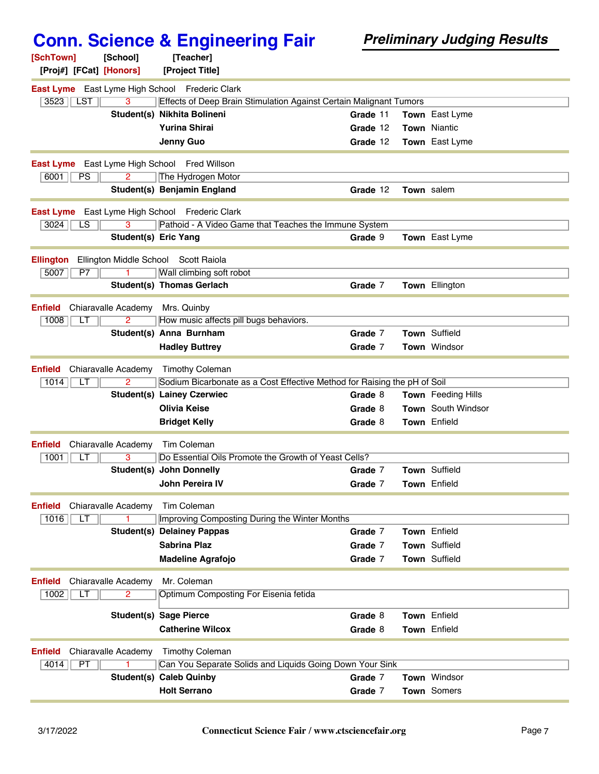| [SchTown]               | [School]                                                                | [Teacher]                                                                |          |  |                       |  |  |
|-------------------------|-------------------------------------------------------------------------|--------------------------------------------------------------------------|----------|--|-----------------------|--|--|
| [Proj#] [FCat] [Honors] |                                                                         | [Project Title]                                                          |          |  |                       |  |  |
|                         |                                                                         | East Lyme East Lyme High School Frederic Clark                           |          |  |                       |  |  |
| $3523$   LST            | 3<br>Effects of Deep Brain Stimulation Against Certain Malignant Tumors |                                                                          |          |  |                       |  |  |
|                         |                                                                         | Student(s) Nikhita Bolineni                                              | Grade 11 |  | Town East Lyme        |  |  |
|                         |                                                                         | <b>Yurina Shirai</b>                                                     | Grade 12 |  | <b>Town Niantic</b>   |  |  |
|                         |                                                                         | Jenny Guo                                                                | Grade 12 |  | <b>Town</b> East Lyme |  |  |
|                         |                                                                         | <b>East Lyme</b> East Lyme High School Fred Willson                      |          |  |                       |  |  |
| 6001<br>PS              | 2                                                                       | The Hydrogen Motor                                                       |          |  |                       |  |  |
|                         |                                                                         | Student(s) Benjamin England                                              | Grade 12 |  | Town salem            |  |  |
|                         |                                                                         |                                                                          |          |  |                       |  |  |
|                         |                                                                         | East Lyme East Lyme High School Frederic Clark                           |          |  |                       |  |  |
| 3024<br>LS              |                                                                         | Pathoid - A Video Game that Teaches the Immune System                    |          |  |                       |  |  |
|                         | <b>Student(s) Eric Yang</b>                                             |                                                                          | Grade 9  |  | Town East Lyme        |  |  |
| <b>Ellington</b>        | Ellington Middle School                                                 | Scott Raiola                                                             |          |  |                       |  |  |
| 5007<br>P7              |                                                                         | Wall climbing soft robot                                                 |          |  |                       |  |  |
|                         |                                                                         | Student(s) Thomas Gerlach                                                | Grade 7  |  | <b>Town Ellington</b> |  |  |
|                         |                                                                         |                                                                          |          |  |                       |  |  |
| <b>Enfield</b>          | Chiaravalle Academy                                                     | Mrs. Quinby                                                              |          |  |                       |  |  |
| 1008<br>LT              | $\overline{2}$                                                          | How music affects pill bugs behaviors.<br>Student(s) Anna Burnham        | Grade 7  |  | Town Suffield         |  |  |
|                         |                                                                         |                                                                          | Grade 7  |  | Town Windsor          |  |  |
|                         |                                                                         | <b>Hadley Buttrey</b>                                                    |          |  |                       |  |  |
| <b>Enfield</b>          | Chiaravalle Academy                                                     | <b>Timothy Coleman</b>                                                   |          |  |                       |  |  |
| 1014<br>LТ              | $\overline{2}$                                                          | Sodium Bicarbonate as a Cost Effective Method for Raising the pH of Soil |          |  |                       |  |  |
|                         |                                                                         | <b>Student(s) Lainey Czerwiec</b>                                        | Grade 8  |  | Town Feeding Hills    |  |  |
|                         |                                                                         | <b>Olivia Keise</b>                                                      | Grade 8  |  | Town South Windsor    |  |  |
|                         |                                                                         | <b>Bridget Kelly</b>                                                     | Grade 8  |  | <b>Town</b> Enfield   |  |  |
| <b>Enfield</b>          | Chiaravalle Academy                                                     | Tim Coleman                                                              |          |  |                       |  |  |
| 1001<br>LТ              | 3                                                                       | Do Essential Oils Promote the Growth of Yeast Cells?                     |          |  |                       |  |  |
|                         |                                                                         | <b>Student(s) John Donnelly</b>                                          | Grade 7  |  | Town Suffield         |  |  |
|                         |                                                                         | John Pereira IV                                                          | Grade 7  |  | Town Enfield          |  |  |
|                         |                                                                         |                                                                          |          |  |                       |  |  |
| <b>Enfield</b>          | Chiaravalle Academy                                                     | Tim Coleman<br>Improving Composting During the Winter Months             |          |  |                       |  |  |
| 1016<br>LT              |                                                                         | <b>Student(s) Delainey Pappas</b>                                        | Grade 7  |  | Town Enfield          |  |  |
|                         |                                                                         | <b>Sabrina Plaz</b>                                                      | Grade 7  |  | Town Suffield         |  |  |
|                         |                                                                         | <b>Madeline Agrafojo</b>                                                 | Grade 7  |  | Town Suffield         |  |  |
|                         |                                                                         |                                                                          |          |  |                       |  |  |
| <b>Enfield</b>          | Chiaravalle Academy                                                     | Mr. Coleman                                                              |          |  |                       |  |  |
| 1002<br>LТ              | $\overline{2}$                                                          | Optimum Composting For Eisenia fetida                                    |          |  |                       |  |  |
|                         |                                                                         | <b>Student(s) Sage Pierce</b>                                            | Grade 8  |  | Town Enfield          |  |  |
|                         |                                                                         | <b>Catherine Wilcox</b>                                                  | Grade 8  |  | Town Enfield          |  |  |
|                         |                                                                         |                                                                          |          |  |                       |  |  |
| <b>Enfield</b>          | Chiaravalle Academy                                                     | <b>Timothy Coleman</b>                                                   |          |  |                       |  |  |
| 4014<br><b>PT</b>       |                                                                         | Can You Separate Solids and Liquids Going Down Your Sink                 |          |  |                       |  |  |
|                         |                                                                         | <b>Student(s) Caleb Quinby</b>                                           | Grade 7  |  | <b>Town Windsor</b>   |  |  |
|                         |                                                                         | <b>Holt Serrano</b>                                                      | Grade 7  |  | Town Somers           |  |  |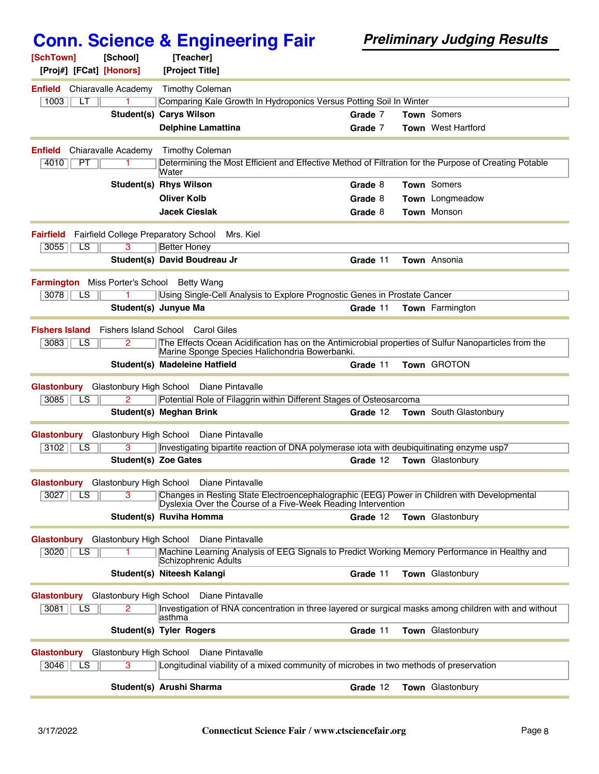| [SchTown]<br>[Proj#] [FCat] [Honors]              | [School]            | [Teacher]                            |                                                                                                            |          |                                                                                                       |
|---------------------------------------------------|---------------------|--------------------------------------|------------------------------------------------------------------------------------------------------------|----------|-------------------------------------------------------------------------------------------------------|
|                                                   |                     | [Project Title]                      |                                                                                                            |          |                                                                                                       |
| <b>Enfield</b>                                    | Chiaravalle Academy | <b>Timothy Coleman</b>               |                                                                                                            |          |                                                                                                       |
| 1003<br>LТ                                        |                     | <b>Student(s) Carys Wilson</b>       | Comparing Kale Growth In Hydroponics Versus Potting Soil In Winter                                         | Grade 7  | <b>Town</b> Somers                                                                                    |
|                                                   |                     | <b>Delphine Lamattina</b>            |                                                                                                            | Grade 7  | Town West Hartford                                                                                    |
|                                                   |                     |                                      |                                                                                                            |          |                                                                                                       |
| <b>Enfield</b>                                    | Chiaravalle Academy | <b>Timothy Coleman</b>               |                                                                                                            |          |                                                                                                       |
| 4010<br>PT                                        | 1.                  | Water                                |                                                                                                            |          | Determining the Most Efficient and Effective Method of Filtration for the Purpose of Creating Potable |
|                                                   |                     | <b>Student(s) Rhys Wilson</b>        |                                                                                                            | Grade 8  | Town Somers                                                                                           |
|                                                   |                     | <b>Oliver Kolb</b>                   |                                                                                                            | Grade 8  | Town Longmeadow                                                                                       |
|                                                   |                     | <b>Jacek Cieslak</b>                 |                                                                                                            | Grade 8  | <b>Town Monson</b>                                                                                    |
| <b>Fairfield</b>                                  |                     | Fairfield College Preparatory School | Mrs. Kiel                                                                                                  |          |                                                                                                       |
| LS<br>3055                                        | 3                   | Better Honey                         |                                                                                                            |          |                                                                                                       |
|                                                   |                     | Student(s) David Boudreau Jr         |                                                                                                            | Grade 11 | Town Ansonia                                                                                          |
| <b>Farmington</b> Miss Porter's School Betty Wang |                     |                                      |                                                                                                            |          |                                                                                                       |
| 3078<br>LS                                        |                     |                                      | Using Single-Cell Analysis to Explore Prognostic Genes in Prostate Cancer                                  |          |                                                                                                       |
|                                                   |                     | Student(s) Junyue Ma                 |                                                                                                            | Grade 11 | Town Farmington                                                                                       |
| <b>Fishers Island</b>                             |                     | Fishers Island School Carol Giles    |                                                                                                            |          |                                                                                                       |
| 3083<br>LS                                        | 2                   |                                      |                                                                                                            |          | The Effects Ocean Acidification has on the Antimicrobial properties of Sulfur Nanoparticles from the  |
|                                                   |                     |                                      | Marine Sponge Species Halichondria Bowerbanki.                                                             |          |                                                                                                       |
|                                                   |                     | Student(s) Madeleine Hatfield        |                                                                                                            | Grade 11 | Town GROTON                                                                                           |
| Glastonbury Glastonbury High School               |                     |                                      | Diane Pintavalle                                                                                           |          |                                                                                                       |
| 3085<br>LS                                        |                     |                                      | Potential Role of Filaggrin within Different Stages of Osteosarcoma                                        |          |                                                                                                       |
|                                                   |                     | Student(s) Meghan Brink              |                                                                                                            | Grade 12 | <b>Town</b> South Glastonbury                                                                         |
| Glastonbury Glastonbury High School               |                     | Diane Pintavalle                     |                                                                                                            |          |                                                                                                       |
| 3102<br>LS                                        |                     |                                      | Investigating bipartite reaction of DNA polymerase iota with deubiquitinating enzyme usp7                  |          |                                                                                                       |
|                                                   |                     | <b>Student(s) Zoe Gates</b>          |                                                                                                            | Grade 12 | Town Glastonbury                                                                                      |
| Glastonbury Glastonbury High School               |                     |                                      | Diane Pintavalle                                                                                           |          |                                                                                                       |
| 3027   LS                                         | 3                   |                                      | Dyslexia Over the Course of a Five-Week Reading Intervention                                               |          | Changes in Resting State Electroencephalographic (EEG) Power in Children with Developmental           |
|                                                   |                     | Student(s) Ruviha Homma              |                                                                                                            | Grade 12 | Town Glastonbury                                                                                      |
| Glastonbury Glastonbury High School               |                     |                                      | Diane Pintavalle                                                                                           |          |                                                                                                       |
| 3020<br>LS.                                       |                     |                                      |                                                                                                            |          | Machine Learning Analysis of EEG Signals to Predict Working Memory Performance in Healthy and         |
|                                                   |                     | Schizophrenic Adults                 |                                                                                                            |          |                                                                                                       |
|                                                   |                     | Student(s) Niteesh Kalangi           |                                                                                                            | Grade 11 | Town Glastonbury                                                                                      |
| Glastonbury Glastonbury High School               |                     |                                      | Diane Pintavalle                                                                                           |          |                                                                                                       |
| 3081<br>LS                                        | $\overline{2}$      | lasthma                              |                                                                                                            |          | Investigation of RNA concentration in three layered or surgical masks among children with and without |
|                                                   |                     | <b>Student(s) Tyler Rogers</b>       |                                                                                                            | Grade 11 | Town Glastonbury                                                                                      |
|                                                   |                     |                                      |                                                                                                            |          |                                                                                                       |
| Glastonbury Glastonbury High School<br>3046<br>LS | 3                   |                                      | Diane Pintavalle<br>Longitudinal viability of a mixed community of microbes in two methods of preservation |          |                                                                                                       |
|                                                   |                     |                                      |                                                                                                            |          |                                                                                                       |
|                                                   |                     | Student(s) Arushi Sharma             |                                                                                                            | Grade 12 | Town Glastonbury                                                                                      |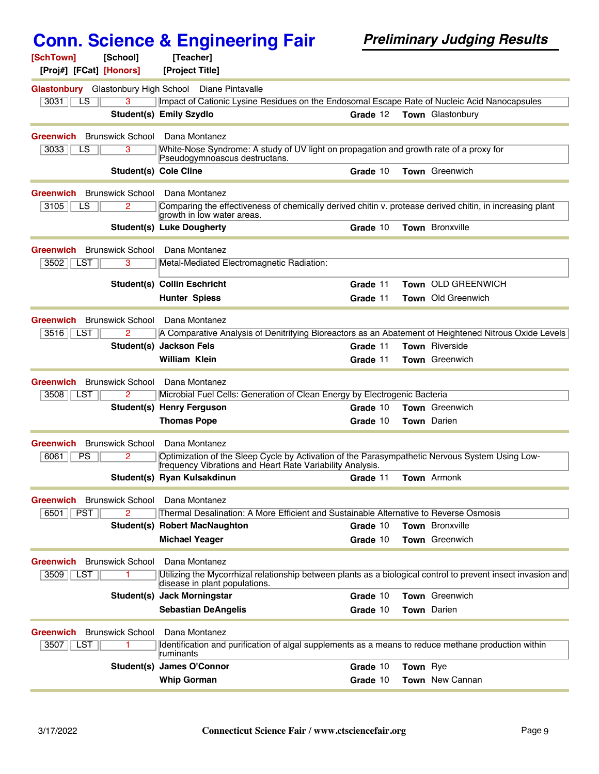| [SchTown]                           | [School]                | [Teacher]                                                     |                                                                                        |          |                 |                                                                                                              |
|-------------------------------------|-------------------------|---------------------------------------------------------------|----------------------------------------------------------------------------------------|----------|-----------------|--------------------------------------------------------------------------------------------------------------|
| [Proj#] [FCat] [Honors]             |                         | [Project Title]                                               |                                                                                        |          |                 |                                                                                                              |
| Glastonbury Glastonbury High School |                         |                                                               | Diane Pintavalle                                                                       |          |                 |                                                                                                              |
| 3031<br>LS                          | 3                       |                                                               |                                                                                        |          |                 | Impact of Cationic Lysine Residues on the Endosomal Escape Rate of Nucleic Acid Nanocapsules                 |
|                                     |                         | Student(s) Emily Szydlo                                       |                                                                                        | Grade 12 |                 | Town Glastonbury                                                                                             |
| Greenwich                           | <b>Brunswick School</b> | Dana Montanez                                                 |                                                                                        |          |                 |                                                                                                              |
| $\overline{LS}$<br>3033             | 3                       |                                                               | White-Nose Syndrome: A study of UV light on propagation and growth rate of a proxy for |          |                 |                                                                                                              |
|                                     |                         | Pseudogymnoascus destructans.<br><b>Student(s) Cole Cline</b> |                                                                                        | Grade 10 |                 | Town Greenwich                                                                                               |
|                                     |                         |                                                               |                                                                                        |          |                 |                                                                                                              |
| Greenwich                           | <b>Brunswick School</b> | Dana Montanez                                                 |                                                                                        |          |                 |                                                                                                              |
| 3105<br>LS                          | 2                       | growth in low water areas.                                    |                                                                                        |          |                 | Comparing the effectiveness of chemically derived chitin v. protease derived chitin, in increasing plant     |
|                                     |                         | <b>Student(s) Luke Dougherty</b>                              |                                                                                        | Grade 10 |                 | <b>Town</b> Bronxville                                                                                       |
|                                     |                         |                                                               |                                                                                        |          |                 |                                                                                                              |
| Greenwich                           | <b>Brunswick School</b> | Dana Montanez                                                 |                                                                                        |          |                 |                                                                                                              |
| 3502<br>LST                         | 3                       |                                                               | Metal-Mediated Electromagnetic Radiation:                                              |          |                 |                                                                                                              |
|                                     |                         | <b>Student(s) Collin Eschricht</b>                            |                                                                                        | Grade 11 |                 | Town OLD GREENWICH                                                                                           |
|                                     |                         | <b>Hunter Spiess</b>                                          |                                                                                        | Grade 11 |                 | Town Old Greenwich                                                                                           |
| Greenwich                           | <b>Brunswick School</b> | Dana Montanez                                                 |                                                                                        |          |                 |                                                                                                              |
| 3516<br>LST                         | $\overline{2}$          |                                                               |                                                                                        |          |                 | A Comparative Analysis of Denitrifying Bioreactors as an Abatement of Heightened Nitrous Oxide Levels        |
|                                     |                         | Student(s) Jackson Fels                                       |                                                                                        | Grade 11 |                 | <b>Town</b> Riverside                                                                                        |
|                                     |                         | William Klein                                                 |                                                                                        | Grade 11 |                 | <b>Town</b> Greenwich                                                                                        |
| Greenwich                           | <b>Brunswick School</b> | Dana Montanez                                                 |                                                                                        |          |                 |                                                                                                              |
| 3508<br>LST                         | 2                       |                                                               | Microbial Fuel Cells: Generation of Clean Energy by Electrogenic Bacteria              |          |                 |                                                                                                              |
|                                     |                         | Student(s) Henry Ferguson                                     |                                                                                        | Grade 10 |                 | <b>Town</b> Greenwich                                                                                        |
|                                     |                         | <b>Thomas Pope</b>                                            |                                                                                        | Grade 10 |                 | Town Darien                                                                                                  |
| Greenwich                           | <b>Brunswick School</b> | Dana Montanez                                                 |                                                                                        |          |                 |                                                                                                              |
| 6061<br><b>PS</b>                   | 2                       |                                                               |                                                                                        |          |                 | Optimization of the Sleep Cycle by Activation of the Parasympathetic Nervous System Using Low-               |
|                                     |                         |                                                               | frequency Vibrations and Heart Rate Variability Analysis.                              |          |                 |                                                                                                              |
|                                     |                         | Student(s) Ryan Kulsakdinun                                   |                                                                                        | Grade 11 |                 | Town Armonk                                                                                                  |
| <b>Greenwich</b> Brunswick School   |                         | Dana Montanez                                                 |                                                                                        |          |                 |                                                                                                              |
| <b>PST</b><br>6501                  | 2                       |                                                               | Thermal Desalination: A More Efficient and Sustainable Alternative to Reverse Osmosis  |          |                 |                                                                                                              |
|                                     |                         | <b>Student(s) Robert MacNaughton</b>                          |                                                                                        | Grade 10 |                 | Town Bronxville                                                                                              |
|                                     |                         | <b>Michael Yeager</b>                                         |                                                                                        | Grade 10 |                 | Town Greenwich                                                                                               |
| Greenwich                           | <b>Brunswick School</b> | Dana Montanez                                                 |                                                                                        |          |                 |                                                                                                              |
| 3509<br>LST                         | 1                       |                                                               |                                                                                        |          |                 | Utilizing the Mycorrhizal relationship between plants as a biological control to prevent insect invasion and |
|                                     |                         | disease in plant populations.                                 |                                                                                        |          |                 |                                                                                                              |
|                                     | Student(s)              | <b>Jack Morningstar</b>                                       |                                                                                        | Grade 10 |                 | Town Greenwich                                                                                               |
|                                     |                         | <b>Sebastian DeAngelis</b>                                    |                                                                                        | Grade 10 |                 | <b>Town</b> Darien                                                                                           |
| Greenwich                           | <b>Brunswick School</b> | Dana Montanez                                                 |                                                                                        |          |                 |                                                                                                              |
| 3507<br>LST                         | 1                       | ruminants                                                     |                                                                                        |          |                 | Identification and purification of algal supplements as a means to reduce methane production within          |
|                                     |                         | Student(s) James O'Connor                                     |                                                                                        | Grade 10 | <b>Town</b> Rye |                                                                                                              |
|                                     |                         | <b>Whip Gorman</b>                                            |                                                                                        | Grade 10 |                 | Town New Cannan                                                                                              |
|                                     |                         |                                                               |                                                                                        |          |                 |                                                                                                              |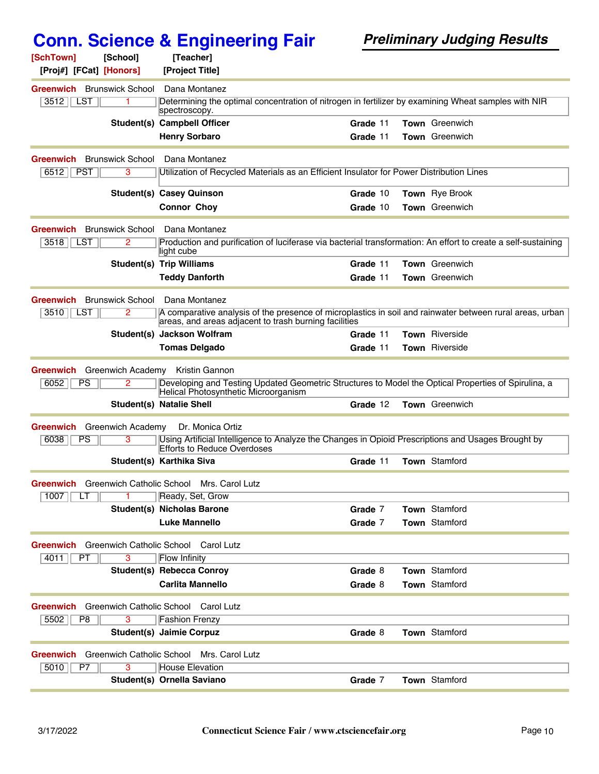| [SchTown]<br>[School]                                      | [Teacher]                                             |                                                                                                               |
|------------------------------------------------------------|-------------------------------------------------------|---------------------------------------------------------------------------------------------------------------|
| [Proj#] [FCat] [Honors]                                    | [Project Title]                                       |                                                                                                               |
| <b>Greenwich</b> Brunswick School                          | Dana Montanez                                         |                                                                                                               |
| 3512<br>LST<br>1                                           | spectroscopy.                                         | Determining the optimal concentration of nitrogen in fertilizer by examining Wheat samples with NIR           |
|                                                            | <b>Student(s) Campbell Officer</b>                    | Town Greenwich<br>Grade 11                                                                                    |
|                                                            | <b>Henry Sorbaro</b>                                  | <b>Town</b> Greenwich<br>Grade 11                                                                             |
| <b>Brunswick School</b><br>Greenwich                       | Dana Montanez                                         |                                                                                                               |
| 6512<br><b>PST</b><br>3                                    |                                                       | Utilization of Recycled Materials as an Efficient Insulator for Power Distribution Lines                      |
|                                                            | <b>Student(s) Casey Quinson</b>                       | Grade 10<br>Town Rye Brook                                                                                    |
|                                                            | <b>Connor Choy</b>                                    | Town Greenwich<br>Grade 10                                                                                    |
|                                                            |                                                       |                                                                                                               |
| <b>Brunswick School</b><br><b>Greenwich</b>                | Dana Montanez                                         |                                                                                                               |
| 3518<br>LST<br>2                                           | light cube                                            | Production and purification of luciferase via bacterial transformation: An effort to create a self-sustaining |
|                                                            | <b>Student(s) Trip Williams</b>                       | Town Greenwich<br>Grade 11                                                                                    |
|                                                            | <b>Teddy Danforth</b>                                 | <b>Town</b> Greenwich<br>Grade 11                                                                             |
| <b>Brunswick School</b><br><b>Greenwich</b>                | Dana Montanez                                         |                                                                                                               |
| 3510<br>$\mathsf{\mathsf{\mathsf{\mathsf{  }}}}$ LST<br>2  | areas, and areas adjacent to trash burning facilities | A comparative analysis of the presence of microplastics in soil and rainwater between rural areas, urban      |
|                                                            | Student(s) Jackson Wolfram                            | Town Riverside<br>Grade 11                                                                                    |
|                                                            | <b>Tomas Delgado</b>                                  | <b>Town</b> Riverside<br>Grade 11                                                                             |
| <b>Greenwich Academy</b><br><b>Greenwich</b>               | Kristin Gannon                                        |                                                                                                               |
| PS<br>6052<br>2                                            | Helical Photosynthetic Microorganism                  | Developing and Testing Updated Geometric Structures to Model the Optical Properties of Spirulina, a           |
|                                                            | <b>Student(s) Natalie Shell</b>                       | Town Greenwich<br>Grade 12                                                                                    |
| <b>Greenwich Academy</b><br>Greenwich                      | Dr. Monica Ortiz                                      |                                                                                                               |
| 6038<br>PS<br>3                                            |                                                       | Using Artificial Intelligence to Analyze the Changes in Opioid Prescriptions and Usages Brought by            |
|                                                            | <b>Efforts to Reduce Overdoses</b>                    |                                                                                                               |
|                                                            | Student(s) Karthika Siva                              | <b>Town Stamford</b><br>Grade 11                                                                              |
| <b>Greenwich</b> Greenwich Catholic School Mrs. Carol Lutz |                                                       |                                                                                                               |
| 1007<br>LТ                                                 | Ready, Set, Grow                                      |                                                                                                               |
|                                                            | <b>Student(s) Nicholas Barone</b>                     | <b>Town</b> Stamford<br>Grade 7                                                                               |
|                                                            | <b>Luke Mannello</b>                                  | Grade 7<br>Town Stamford                                                                                      |
| <b>Greenwich</b>                                           | Greenwich Catholic School Carol Lutz                  |                                                                                                               |
| 4011<br>PT<br>3                                            | <b>Flow Infinity</b>                                  |                                                                                                               |
|                                                            | <b>Student(s) Rebecca Conroy</b>                      | Town Stamford<br>Grade 8                                                                                      |
|                                                            | <b>Carlita Mannello</b>                               | Town Stamford<br>Grade 8                                                                                      |
| Greenwich                                                  | Greenwich Catholic School Carol Lutz                  |                                                                                                               |
| 5502<br>3<br>P8                                            | <b>Fashion Frenzy</b>                                 |                                                                                                               |
|                                                            | Student(s) Jaimie Corpuz                              | Town Stamford<br>Grade 8                                                                                      |
| <b>Greenwich</b>                                           | Greenwich Catholic School Mrs. Carol Lutz             |                                                                                                               |
| 3<br>5010<br>P7                                            | <b>House Elevation</b>                                |                                                                                                               |
|                                                            | Student(s) Ornella Saviano                            | Town Stamford<br>Grade 7                                                                                      |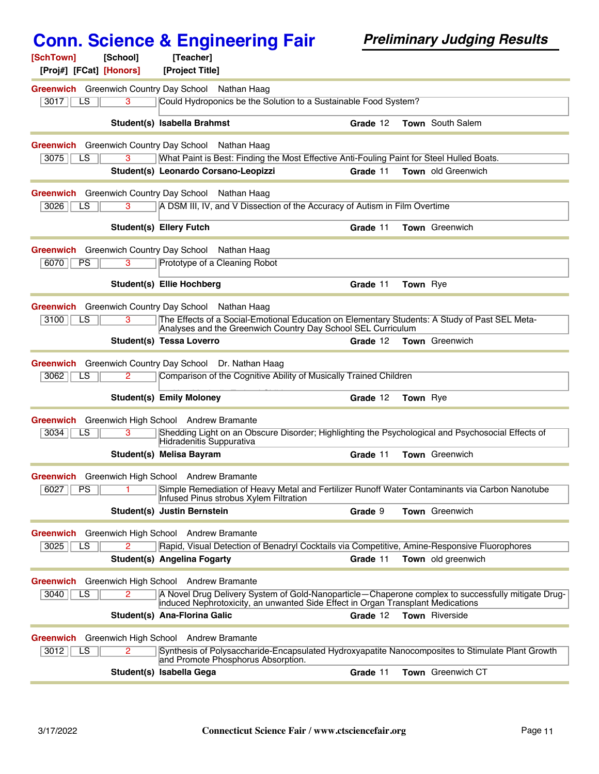|                                                           | <b>Conn. Science &amp; Engineering Fair</b>                                                                                                                                           | <b>Preliminary Judging Results</b> |                           |  |  |
|-----------------------------------------------------------|---------------------------------------------------------------------------------------------------------------------------------------------------------------------------------------|------------------------------------|---------------------------|--|--|
| [SchTown]<br>[School]<br>[Proj#] [FCat] [Honors]          | [Teacher]<br>[Project Title]                                                                                                                                                          |                                    |                           |  |  |
| Greenwich Greenwich Country Day School Nathan Haag        |                                                                                                                                                                                       |                                    |                           |  |  |
| 3<br>3017<br>LS                                           | Could Hydroponics be the Solution to a Sustainable Food System?                                                                                                                       |                                    |                           |  |  |
|                                                           | Student(s) Isabella Brahmst                                                                                                                                                           | Grade 12                           | <b>Town</b> South Salem   |  |  |
| <b>Greenwich</b> Greenwich Country Day School             | Nathan Haag                                                                                                                                                                           |                                    |                           |  |  |
| 3<br>3075<br>LS                                           | What Paint is Best: Finding the Most Effective Anti-Fouling Paint for Steel Hulled Boats.                                                                                             |                                    |                           |  |  |
|                                                           | Student(s) Leonardo Corsano-Leopizzi                                                                                                                                                  | Grade 11                           | <b>Town</b> old Greenwich |  |  |
| <b>Greenwich</b> Greenwich Country Day School             | Nathan Haag                                                                                                                                                                           |                                    |                           |  |  |
| 3026<br>LS<br>3                                           | A DSM III, IV, and V Dissection of the Accuracy of Autism in Film Overtime                                                                                                            |                                    |                           |  |  |
|                                                           | <b>Student(s) Ellery Futch</b>                                                                                                                                                        | Grade 11                           | Town Greenwich            |  |  |
| <b>Greenwich</b> Greenwich Country Day School Nathan Haag |                                                                                                                                                                                       |                                    |                           |  |  |
| 3<br>6070<br>PS                                           | Prototype of a Cleaning Robot                                                                                                                                                         |                                    |                           |  |  |
|                                                           | Student(s) Ellie Hochberg                                                                                                                                                             | Grade 11                           | Town Rye                  |  |  |
| Greenwich Greenwich Country Day School Nathan Haag        |                                                                                                                                                                                       |                                    |                           |  |  |
| 3100<br>LS<br>3                                           | The Effects of a Social-Emotional Education on Elementary Students: A Study of Past SEL Meta-                                                                                         |                                    |                           |  |  |
|                                                           | Analyses and the Greenwich Country Day School SEL Curriculum<br>Student(s) Tessa Loverro                                                                                              | Grade 12                           | <b>Town</b> Greenwich     |  |  |
|                                                           |                                                                                                                                                                                       |                                    |                           |  |  |
| 3062<br>LS<br>2                                           | Greenwich Greenwich Country Day School Dr. Nathan Haag<br>Comparison of the Cognitive Ability of Musically Trained Children                                                           |                                    |                           |  |  |
|                                                           |                                                                                                                                                                                       |                                    |                           |  |  |
|                                                           | <b>Student(s) Emily Moloney</b>                                                                                                                                                       | Grade 12                           | <b>Town Rye</b>           |  |  |
| Greenwich                                                 | Greenwich High School Andrew Bramante                                                                                                                                                 |                                    |                           |  |  |
| 3034<br>LS<br>3                                           | Shedding Light on an Obscure Disorder; Highlighting the Psychological and Psychosocial Effects of<br>Hidradenitis Suppurativa                                                         |                                    |                           |  |  |
|                                                           | Student(s) Melisa Bayram                                                                                                                                                              | Grade 11                           | <b>Town</b> Greenwich     |  |  |
| Greenwich Greenwich High School Andrew Bramante           |                                                                                                                                                                                       |                                    |                           |  |  |
| 6027<br>PS                                                | Simple Remediation of Heavy Metal and Fertilizer Runoff Water Contaminants via Carbon Nanotube<br>Infused Pinus strobus Xylem Filtration                                              |                                    |                           |  |  |
|                                                           | Student(s) Justin Bernstein                                                                                                                                                           | Grade 9                            | <b>Town</b> Greenwich     |  |  |
| Greenwich Greenwich High School Andrew Bramante           |                                                                                                                                                                                       |                                    |                           |  |  |
| 3025<br>LS                                                | Rapid, Visual Detection of Benadryl Cocktails via Competitive, Amine-Responsive Fluorophores                                                                                          |                                    |                           |  |  |
|                                                           | Student(s) Angelina Fogarty                                                                                                                                                           | Grade 11                           | Town old greenwich        |  |  |
| <b>Greenwich</b> Greenwich High School Andrew Bramante    |                                                                                                                                                                                       |                                    |                           |  |  |
| 3040<br>LS                                                | A Novel Drug Delivery System of Gold-Nanoparticle-Chaperone complex to successfully mitigate Drug-<br>induced Nephrotoxicity, an unwanted Side Effect in Organ Transplant Medications |                                    |                           |  |  |
|                                                           | Student(s) Ana-Florina Galic                                                                                                                                                          | Grade 12                           | Town Riverside            |  |  |
| <b>Greenwich</b>                                          | Greenwich High School Andrew Bramante                                                                                                                                                 |                                    |                           |  |  |
| 3012<br>LS<br>2                                           | Synthesis of Polysaccharide-Encapsulated Hydroxyapatite Nanocomposites to Stimulate Plant Growth<br>and Promote Phosphorus Absorption.                                                |                                    |                           |  |  |
|                                                           | Student(s) Isabella Gega                                                                                                                                                              | Grade 11                           | Town Greenwich CT         |  |  |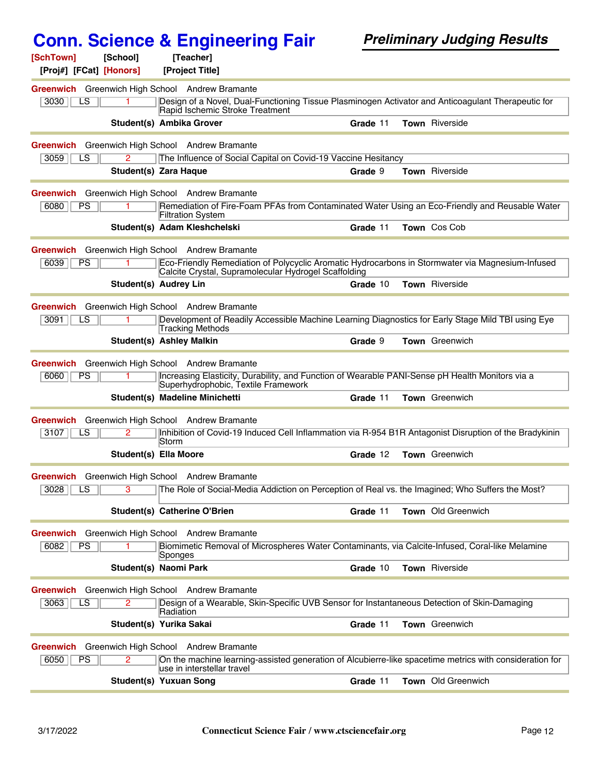| [SchTown]        | [School]                | [Teacher]                                              |                                                               |                                                                                                         |
|------------------|-------------------------|--------------------------------------------------------|---------------------------------------------------------------|---------------------------------------------------------------------------------------------------------|
|                  | [Proj#] [FCat] [Honors] | [Project Title]                                        |                                                               |                                                                                                         |
|                  | LS                      | Greenwich Greenwich High School Andrew Bramante        |                                                               | Design of a Novel, Dual-Functioning Tissue Plasminogen Activator and Anticoagulant Therapeutic for      |
| 3030             |                         | Rapid Ischemic Stroke Treatment                        |                                                               |                                                                                                         |
|                  |                         | Student(s) Ambika Grover                               | Grade 11                                                      | Town Riverside                                                                                          |
| Greenwich        |                         | Greenwich High School Andrew Bramante                  |                                                               |                                                                                                         |
| 3059             | $\overline{2}$<br>LS    |                                                        | The Influence of Social Capital on Covid-19 Vaccine Hesitancy |                                                                                                         |
|                  |                         | <b>Student(s) Zara Haque</b>                           | Grade 9                                                       | Town Riverside                                                                                          |
|                  |                         | Greenwich Greenwich High School Andrew Bramante        |                                                               |                                                                                                         |
| 6080             | PS                      | <b>Filtration System</b>                               |                                                               | Remediation of Fire-Foam PFAs from Contaminated Water Using an Eco-Friendly and Reusable Water          |
|                  |                         | Student(s) Adam Kleshchelski                           | Grade 11                                                      | Town Cos Cob                                                                                            |
|                  |                         | <b>Greenwich</b> Greenwich High School Andrew Bramante |                                                               |                                                                                                         |
| 6039             | <b>PS</b>               | Calcite Crystal, Supramolecular Hydrogel Scaffolding   |                                                               | Eco-Friendly Remediation of Polycyclic Aromatic Hydrocarbons in Stormwater via Magnesium-Infused        |
|                  |                         | <b>Student(s) Audrey Lin</b>                           | Grade 10                                                      | Town Riverside                                                                                          |
|                  |                         | Greenwich Greenwich High School Andrew Bramante        |                                                               |                                                                                                         |
| 3091             | LS                      | Tracking Methods                                       |                                                               | Development of Readily Accessible Machine Learning Diagnostics for Early Stage Mild TBI using Eye       |
|                  |                         | <b>Student(s) Ashley Malkin</b>                        | Grade 9                                                       | <b>Town</b> Greenwich                                                                                   |
|                  |                         | Greenwich Greenwich High School Andrew Bramante        |                                                               |                                                                                                         |
| 6060             | PS                      | Superhydrophobic, Textile Framework                    |                                                               | Increasing Elasticity, Durability, and Function of Wearable PANI-Sense pH Health Monitors via a         |
|                  |                         | Student(s) Madeline Minichetti                         | Grade 11                                                      | Town Greenwich                                                                                          |
| Greenwich        |                         | Greenwich High School Andrew Bramante                  |                                                               |                                                                                                         |
| 3107             | LS<br>2                 | Storm                                                  |                                                               | Inhibition of Covid-19 Induced Cell Inflammation via R-954 B1R Antagonist Disruption of the Bradykinin  |
|                  |                         | <b>Student(s) Ella Moore</b>                           | Grade 12                                                      | Town Greenwich                                                                                          |
|                  |                         | Greenwich Greenwich High School Andrew Bramante        |                                                               |                                                                                                         |
| 3028             | $\overline{LS}$<br>3    |                                                        |                                                               | The Role of Social-Media Addiction on Perception of Real vs. the Imagined; Who Suffers the Most?        |
|                  |                         | Student(s) Catherine O'Brien                           | Grade 11                                                      | <b>Town</b> Old Greenwich                                                                               |
|                  |                         | Greenwich Greenwich High School Andrew Bramante        |                                                               |                                                                                                         |
| 6082             | <b>PS</b>               | Sponges                                                |                                                               | Biomimetic Removal of Microspheres Water Contaminants, via Calcite-Infused, Coral-like Melamine         |
|                  |                         | <b>Student(s) Naomi Park</b>                           | Grade 10                                                      | Town Riverside                                                                                          |
| Greenwich        |                         | Greenwich High School Andrew Bramante                  |                                                               |                                                                                                         |
| 3063             | LS<br>2.                | Radiation                                              |                                                               | Design of a Wearable, Skin-Specific UVB Sensor for Instantaneous Detection of Skin-Damaging             |
|                  |                         | Student(s) Yurika Sakai                                | Grade 11                                                      | Town Greenwich                                                                                          |
| <b>Greenwich</b> |                         | Greenwich High School Andrew Bramante                  |                                                               |                                                                                                         |
| 6050             | PS<br>2                 | use in interstellar travel                             |                                                               | On the machine learning-assisted generation of Alcubierre-like spacetime metrics with consideration for |
|                  |                         | Student(s) Yuxuan Song                                 | Grade 11                                                      | Town Old Greenwich                                                                                      |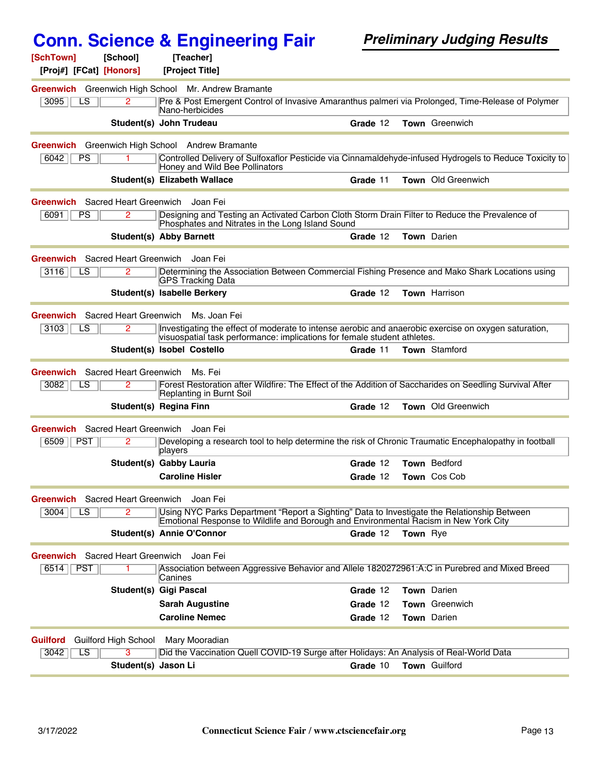| [SchTown]<br>[School]<br>[Proj#] [FCat] [Honors]    | [Teacher]<br>[Project Title]                                             |                                                                                                              |  |
|-----------------------------------------------------|--------------------------------------------------------------------------|--------------------------------------------------------------------------------------------------------------|--|
| Greenwich Greenwich High School Mr. Andrew Bramante |                                                                          |                                                                                                              |  |
| $\overline{2}$<br>3095<br>LS                        |                                                                          | Pre & Post Emergent Control of Invasive Amaranthus palmeri via Prolonged, Time-Release of Polymer            |  |
|                                                     | Nano-herbicides<br>Student(s) John Trudeau                               | Town Greenwich<br>Grade 12                                                                                   |  |
|                                                     |                                                                          |                                                                                                              |  |
| Greenwich                                           | Greenwich High School Andrew Bramante                                    |                                                                                                              |  |
| 6042<br><b>PS</b><br>1.                             | Honey and Wild Bee Pollinators                                           | Controlled Delivery of Sulfoxaflor Pesticide via Cinnamaldehyde-infused Hydrogels to Reduce Toxicity to      |  |
|                                                     | Student(s) Elizabeth Wallace                                             | <b>Town</b> Old Greenwich<br>Grade 11                                                                        |  |
| <b>Greenwich</b> Sacred Heart Greenwich             | Joan Fei                                                                 |                                                                                                              |  |
| 6091<br>PS<br>2.                                    | Phosphates and Nitrates in the Long Island Sound                         | Designing and Testing an Activated Carbon Cloth Storm Drain Filter to Reduce the Prevalence of               |  |
|                                                     | <b>Student(s) Abby Barnett</b>                                           | Town Darien<br>Grade 12                                                                                      |  |
| <b>Greenwich</b> Sacred Heart Greenwich             | Joan Fei                                                                 |                                                                                                              |  |
| 3116<br>LS<br>2                                     | <b>GPS Tracking Data</b>                                                 | Determining the Association Between Commercial Fishing Presence and Mako Shark Locations using               |  |
|                                                     | Student(s) Isabelle Berkery                                              | Town Harrison<br>Grade 12                                                                                    |  |
| Sacred Heart Greenwich<br>Greenwich                 | Ms. Joan Fei                                                             |                                                                                                              |  |
| 3103<br>LS<br>2                                     | visuospatial task performance: implications for female student athletes. | Investigating the effect of moderate to intense aerobic and anaerobic exercise on oxygen saturation,         |  |
|                                                     | Student(s) Isobel Costello                                               | Grade 11<br><b>Town</b> Stamford                                                                             |  |
| <b>Greenwich</b> Sacred Heart Greenwich             | Ms. Fei                                                                  |                                                                                                              |  |
| 3082<br>LS<br>2                                     | Replanting in Burnt Soil                                                 | Forest Restoration after Wildfire: The Effect of the Addition of Saccharides on Seedling Survival After      |  |
|                                                     | Student(s) Regina Finn                                                   | Town Old Greenwich<br>Grade 12                                                                               |  |
| Sacred Heart Greenwich<br>Greenwich                 | Joan Fei                                                                 |                                                                                                              |  |
| <b>PST</b><br>6509<br>2                             | players                                                                  | Developing a research tool to help determine the risk of Chronic Traumatic Encephalopathy in football        |  |
|                                                     | Student(s) Gabby Lauria                                                  | Town Bedford<br>Grade 12                                                                                     |  |
|                                                     | <b>Caroline Hisler</b>                                                   | Grade 12<br>Town Cos Cob                                                                                     |  |
| Greenwich Sacred Heart Greenwich Joan Fei           |                                                                          |                                                                                                              |  |
| 3004<br>LS                                          |                                                                          | Using NYC Parks Department "Report a Sighting" Data to Investigate the Relationship Between                  |  |
|                                                     | Student(s) Annie O'Connor                                                | Emotional Response to Wildlife and Borough and Environmental Racism in New York City<br>Grade 12<br>Town Rye |  |
|                                                     |                                                                          |                                                                                                              |  |
| <b>Greenwich</b> Sacred Heart Greenwich<br>$6514$   | Joan Fei                                                                 | Association between Aggressive Behavior and Allele 1820272961:A:C in Purebred and Mixed Breed                |  |
| PST                                                 | Canines                                                                  |                                                                                                              |  |
|                                                     | <b>Student(s) Gigi Pascal</b>                                            | Town Darien<br>Grade 12                                                                                      |  |
|                                                     | <b>Sarah Augustine</b>                                                   | Town Greenwich<br>Grade 12                                                                                   |  |
|                                                     | <b>Caroline Nemec</b>                                                    | Town Darien<br>Grade 12                                                                                      |  |
| Guilford High School<br>Guilford                    | Mary Mooradian                                                           |                                                                                                              |  |
| 3042<br>LS<br>3                                     |                                                                          | Did the Vaccination Quell COVID-19 Surge after Holidays: An Analysis of Real-World Data                      |  |
|                                                     | Student(s) Jason Li                                                      | Town Guilford<br>Grade 10                                                                                    |  |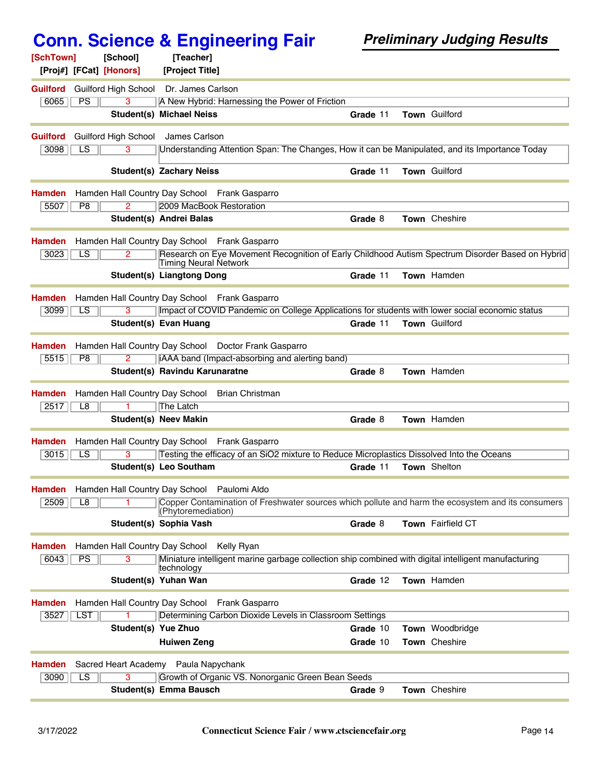| [SchTown]                       | [School]                             | [Teacher]                        |                                                         |          |                                                                                                      |
|---------------------------------|--------------------------------------|----------------------------------|---------------------------------------------------------|----------|------------------------------------------------------------------------------------------------------|
| [Proj#] [FCat] [Honors]         |                                      | [Project Title]                  |                                                         |          |                                                                                                      |
| <b>Guilford</b>                 | <b>Guilford High School</b>          | Dr. James Carlson                |                                                         |          |                                                                                                      |
| 6065<br><b>PS</b>               | 3                                    |                                  | A New Hybrid: Harnessing the Power of Friction          |          |                                                                                                      |
|                                 |                                      | <b>Student(s) Michael Neiss</b>  |                                                         | Grade 11 | Town Guilford                                                                                        |
| <b>Guilford</b>                 | <b>Guilford High School</b>          | James Carlson                    |                                                         |          |                                                                                                      |
| $\overline{LS}$<br>3098         | 3                                    |                                  |                                                         |          | Understanding Attention Span: The Changes, How it can be Manipulated, and its Importance Today       |
|                                 |                                      |                                  |                                                         |          |                                                                                                      |
|                                 |                                      | <b>Student(s) Zachary Neiss</b>  |                                                         | Grade 11 | Town Guilford                                                                                        |
| <b>Hamden</b>                   |                                      |                                  | Hamden Hall Country Day School Frank Gasparro           |          |                                                                                                      |
| 5507<br>P8                      | 2                                    | 2009 MacBook Restoration         |                                                         |          |                                                                                                      |
|                                 |                                      | Student(s) Andrei Balas          |                                                         | Grade 8  | Town Cheshire                                                                                        |
|                                 |                                      |                                  |                                                         |          |                                                                                                      |
| <b>Hamden</b>                   | Hamden Hall Country Day School       |                                  | <b>Frank Gasparro</b>                                   |          |                                                                                                      |
| 3023<br>LS                      | 2                                    | Timing Neural Network            |                                                         |          | Research on Eye Movement Recognition of Early Childhood Autism Spectrum Disorder Based on Hybrid     |
|                                 |                                      | <b>Student(s) Liangtong Dong</b> |                                                         | Grade 11 | Town Hamden                                                                                          |
| <b>Hamden</b>                   |                                      |                                  | Hamden Hall Country Day School Frank Gasparro           |          |                                                                                                      |
| $\overline{LS}$<br>3099         | 3                                    |                                  |                                                         |          | Impact of COVID Pandemic on College Applications for students with lower social economic status      |
|                                 |                                      | Student(s) Evan Huang            |                                                         | Grade 11 | <b>Town Guilford</b>                                                                                 |
|                                 |                                      |                                  |                                                         |          |                                                                                                      |
| <b>Hamden</b>                   |                                      |                                  | Hamden Hall Country Day School Doctor Frank Gasparro    |          |                                                                                                      |
| 5515<br>P8                      |                                      |                                  | iAAA band (Impact-absorbing and alerting band)          |          |                                                                                                      |
|                                 |                                      | Student(s) Ravindu Karunaratne   |                                                         | Grade 8  | Town Hamden                                                                                          |
| <b>Hamden</b>                   | Hamden Hall Country Day School       |                                  | <b>Brian Christman</b>                                  |          |                                                                                                      |
| 2517<br>L8                      |                                      | <b>The Latch</b>                 |                                                         |          |                                                                                                      |
|                                 |                                      | <b>Student(s) Neev Makin</b>     |                                                         | Grade 8  | Town Hamden                                                                                          |
| <b>Hamden</b>                   | Hamden Hall Country Day School       |                                  | Frank Gasparro                                          |          |                                                                                                      |
| LS<br>3015                      | 3                                    |                                  |                                                         |          | Testing the efficacy of an SiO2 mixture to Reduce Microplastics Dissolved Into the Oceans            |
|                                 |                                      | Student(s) Leo Southam           |                                                         | Grade 11 | Town Shelton                                                                                         |
|                                 |                                      |                                  |                                                         |          |                                                                                                      |
| <b>Hamden</b><br>L <sub>8</sub> | Hamden Hall Country Day School       |                                  | Paulomi Aldo                                            |          | Copper Contamination of Freshwater sources which pollute and harm the ecosystem and its consumers    |
| 2509                            |                                      | (Phytoremediation)               |                                                         |          |                                                                                                      |
|                                 |                                      | Student(s) Sophia Vash           |                                                         | Grade 8  | Town Fairfield CT                                                                                    |
| <b>Hamden</b>                   | Hamden Hall Country Day School       |                                  | Kelly Ryan                                              |          |                                                                                                      |
| 6043<br><b>PS</b>               |                                      |                                  |                                                         |          | Miniature intelligent marine garbage collection ship combined with digital intelligent manufacturing |
|                                 |                                      | technology                       |                                                         |          |                                                                                                      |
|                                 |                                      | Student(s) Yuhan Wan             |                                                         | Grade 12 | Town Hamden                                                                                          |
| <b>Hamden</b>                   | Hamden Hall Country Day School       |                                  | Frank Gasparro                                          |          |                                                                                                      |
| 3527<br><b>LST</b>              |                                      |                                  | Determining Carbon Dioxide Levels in Classroom Settings |          |                                                                                                      |
|                                 |                                      | Student(s) Yue Zhuo              |                                                         | Grade 10 | Town Woodbridge                                                                                      |
|                                 |                                      | <b>Huiwen Zeng</b>               |                                                         | Grade 10 | Town Cheshire                                                                                        |
|                                 |                                      |                                  |                                                         |          |                                                                                                      |
| <b>Hamden</b>                   | Sacred Heart Academy Paula Napychank |                                  |                                                         |          |                                                                                                      |
| 3090<br>$\overline{\text{LS}}$  | з                                    |                                  | Growth of Organic VS. Nonorganic Green Bean Seeds       |          |                                                                                                      |
|                                 |                                      | <b>Student(s) Emma Bausch</b>    |                                                         | Grade 9  | Town Cheshire                                                                                        |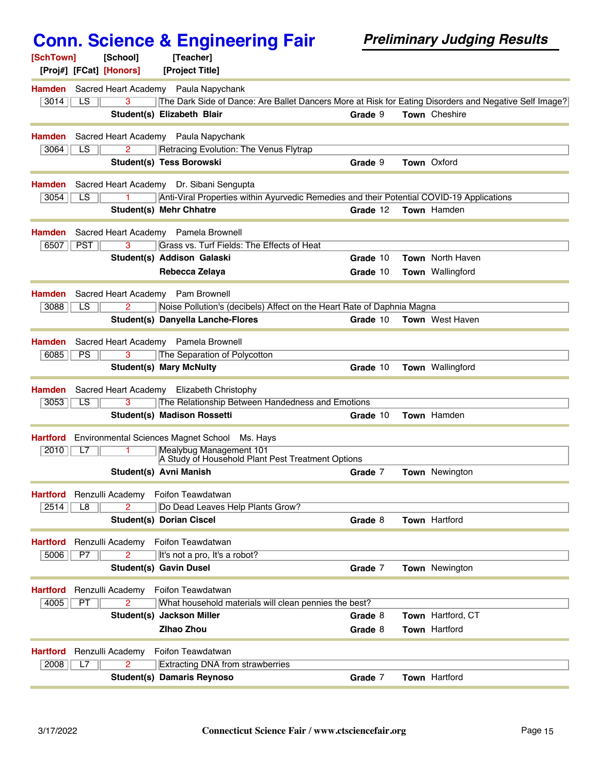| [SchTown]             | [School]<br>[Proj#] [FCat] [Honors]  | [Teacher]<br>[Project Title]                                                                                                                  |          |                         |
|-----------------------|--------------------------------------|-----------------------------------------------------------------------------------------------------------------------------------------------|----------|-------------------------|
| <b>Hamden</b><br>3014 | LS<br>3                              | Sacred Heart Academy Paula Napychank<br>The Dark Side of Dance: Are Ballet Dancers More at Risk for Eating Disorders and Negative Self Image? |          |                         |
|                       |                                      | Student(s) Elizabeth Blair                                                                                                                    | Grade 9  | <b>Town</b> Cheshire    |
| <b>Hamden</b>         |                                      | Sacred Heart Academy Paula Napychank                                                                                                          |          |                         |
| 3064                  | LS<br>2                              | Retracing Evolution: The Venus Flytrap                                                                                                        |          |                         |
|                       |                                      | <b>Student(s) Tess Borowski</b>                                                                                                               | Grade 9  | <b>Town Oxford</b>      |
| <b>Hamden</b>         |                                      | Sacred Heart Academy Dr. Sibani Sengupta                                                                                                      |          |                         |
| 3054                  | LS                                   | Anti-Viral Properties within Ayurvedic Remedies and their Potential COVID-19 Applications                                                     |          |                         |
|                       |                                      | Student(s) Mehr Chhatre                                                                                                                       | Grade 12 | Town Hamden             |
| <b>Hamden</b>         |                                      | Sacred Heart Academy Pamela Brownell                                                                                                          |          |                         |
| 6507                  | <b>PST</b><br>3                      | Grass vs. Turf Fields: The Effects of Heat                                                                                                    |          |                         |
|                       |                                      | Student(s) Addison Galaski                                                                                                                    | Grade 10 | Town North Haven        |
|                       |                                      | Rebecca Zelaya                                                                                                                                | Grade 10 | <b>Town</b> Wallingford |
| <b>Hamden</b>         | Sacred Heart Academy Pam Brownell    |                                                                                                                                               |          |                         |
| 3088                  | LS                                   | Noise Pollution's (decibels) Affect on the Heart Rate of Daphnia Magna                                                                        |          |                         |
|                       |                                      | <b>Student(s) Danyella Lanche-Flores</b>                                                                                                      | Grade 10 | <b>Town</b> West Haven  |
| <b>Hamden</b>         |                                      | Sacred Heart Academy Pamela Brownell                                                                                                          |          |                         |
| 6085                  | <b>PS</b><br>3                       | The Separation of Polycotton                                                                                                                  |          |                         |
|                       |                                      | <b>Student(s) Mary McNulty</b>                                                                                                                | Grade 10 | <b>Town</b> Wallingford |
| <b>Hamden</b>         |                                      | Sacred Heart Academy Elizabeth Christophy                                                                                                     |          |                         |
| 3053                  | LS<br>3                              | The Relationship Between Handedness and Emotions                                                                                              |          |                         |
|                       |                                      | <b>Student(s) Madison Rossetti</b>                                                                                                            | Grade 10 | Town Hamden             |
| <b>Hartford</b>       | Environmental Sciences Magnet School | Ms. Havs                                                                                                                                      |          |                         |
| 2010                  | L7                                   | Mealybug Management 101<br>A Study of Household Plant Pest Treatment Options                                                                  |          |                         |
|                       |                                      | Student(s) Avni Manish                                                                                                                        | Grade 7  | <b>Town</b> Newington   |
| <b>Hartford</b>       | Renzulli Academy                     | Foifon Teawdatwan                                                                                                                             |          |                         |
| 2514                  | 2<br>L <sub>8</sub>                  | Do Dead Leaves Help Plants Grow?                                                                                                              |          |                         |
|                       |                                      | <b>Student(s) Dorian Ciscel</b>                                                                                                               | Grade 8  | Town Hartford           |
| <b>Hartford</b>       | Renzulli Academy                     | Foifon Teawdatwan                                                                                                                             |          |                         |
| 5006                  | P7<br>2                              | It's not a pro, It's a robot?                                                                                                                 |          |                         |
|                       |                                      | <b>Student(s) Gavin Dusel</b>                                                                                                                 | Grade 7  | Town Newington          |
| <b>Hartford</b>       | Renzulli Academy                     | Foifon Teawdatwan                                                                                                                             |          |                         |
| 4005                  | PT<br>2                              | What household materials will clean pennies the best?                                                                                         |          |                         |
|                       |                                      | Student(s) Jackson Miller                                                                                                                     | Grade 8  | Town Hartford, CT       |
|                       |                                      | <b>Zihao Zhou</b>                                                                                                                             | Grade 8  | Town Hartford           |
| <b>Hartford</b>       | Renzulli Academy                     | Foifon Teawdatwan                                                                                                                             |          |                         |
| 2008                  | L7<br>2                              | Extracting DNA from strawberries                                                                                                              |          |                         |
|                       |                                      | <b>Student(s) Damaris Reynoso</b>                                                                                                             | Grade 7  | <b>Town Hartford</b>    |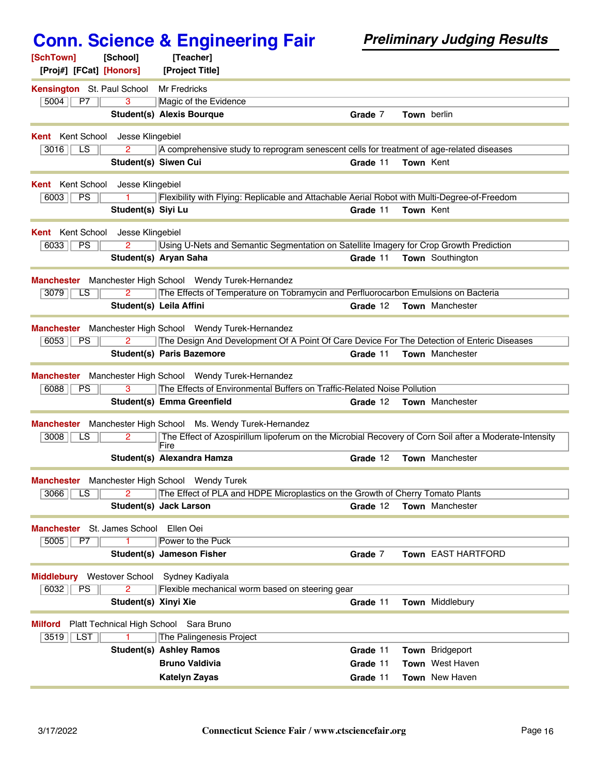| [SchTown]<br>[School]                                          | [Teacher]                                                                                                                          |          |                  |                         |
|----------------------------------------------------------------|------------------------------------------------------------------------------------------------------------------------------------|----------|------------------|-------------------------|
| [Proj#] [FCat] [Honors]                                        | [Project Title]                                                                                                                    |          |                  |                         |
| Kensington St. Paul School                                     | <b>Mr Fredricks</b>                                                                                                                |          |                  |                         |
| 5004<br><b>P7</b><br>3                                         | Magic of the Evidence                                                                                                              |          |                  |                         |
|                                                                | <b>Student(s) Alexis Bourque</b>                                                                                                   | Grade 7  |                  | Town berlin             |
| <b>Kent</b> Kent School<br>Jesse Klingebiel                    |                                                                                                                                    |          |                  |                         |
| $\overline{LS}$<br>3016<br>2                                   | A comprehensive study to reprogram senescent cells for treatment of age-related diseases                                           |          |                  |                         |
|                                                                | <b>Student(s) Siwen Cui</b>                                                                                                        | Grade 11 | <b>Town Kent</b> |                         |
| <b>Kent</b> Kent School<br>Jesse Klingebiel                    |                                                                                                                                    |          |                  |                         |
| PS<br>6003                                                     | Flexibility with Flying: Replicable and Attachable Aerial Robot with Multi-Degree-of-Freedom                                       |          |                  |                         |
| Student(s) Siyi Lu                                             |                                                                                                                                    | Grade 11 | Town Kent        |                         |
|                                                                |                                                                                                                                    |          |                  |                         |
| <b>Kent</b> Kent School<br>Jesse Klingebiel<br>PS<br>6033<br>2 | Using U-Nets and Semantic Segmentation on Satellite Imagery for Crop Growth Prediction                                             |          |                  |                         |
|                                                                | Student(s) Aryan Saha                                                                                                              | Grade 11 |                  | <b>Town</b> Southington |
|                                                                |                                                                                                                                    |          |                  |                         |
|                                                                | Manchester Manchester High School Wendy Turek-Hernandez                                                                            |          |                  |                         |
| 3079<br>LS                                                     | The Effects of Temperature on Tobramycin and Perfluorocarbon Emulsions on Bacteria                                                 |          |                  |                         |
|                                                                | Student(s) Leila Affini                                                                                                            | Grade 12 |                  | <b>Town</b> Manchester  |
|                                                                | Manchester Manchester High School Wendy Turek-Hernandez                                                                            |          |                  |                         |
| 6053<br><b>PS</b><br>2                                         | The Design And Development Of A Point Of Care Device For The Detection of Enteric Diseases                                         |          |                  |                         |
|                                                                | <b>Student(s) Paris Bazemore</b>                                                                                                   | Grade 11 |                  | Town Manchester         |
|                                                                |                                                                                                                                    |          |                  |                         |
| 6088<br>3<br>PS                                                | Manchester Manchester High School Wendy Turek-Hernandez<br>The Effects of Environmental Buffers on Traffic-Related Noise Pollution |          |                  |                         |
|                                                                | Student(s) Emma Greenfield                                                                                                         | Grade 12 |                  | <b>Town</b> Manchester  |
|                                                                |                                                                                                                                    |          |                  |                         |
|                                                                | Manchester Manchester High School Ms. Wendy Turek-Hernandez                                                                        |          |                  |                         |
| 3008<br>2.<br>LS.                                              | The Effect of Azospirillum lipoferum on the Microbial Recovery of Corn Soil after a Moderate-Intensity<br>Fire                     |          |                  |                         |
|                                                                | Student(s) Alexandra Hamza                                                                                                         | Grade 12 |                  | <b>Town</b> Manchester  |
| Manchester Manchester High School Wendy Turek                  |                                                                                                                                    |          |                  |                         |
| $3066$ $\vert$ LS $\vert$                                      | 2   The Effect of PLA and HDPE Microplastics on the Growth of Cherry Tomato Plants                                                 |          |                  |                         |
|                                                                | <b>Student(s) Jack Larson</b>                                                                                                      | Grade 12 |                  | Town Manchester         |
|                                                                |                                                                                                                                    |          |                  |                         |
| <b>Manchester</b> St. James School                             | Ellen Oei                                                                                                                          |          |                  |                         |
| 5005<br>$\overline{P7}$                                        | Power to the Puck                                                                                                                  |          |                  |                         |
|                                                                | <b>Student(s) Jameson Fisher</b>                                                                                                   | Grade 7  |                  | Town EAST HARTFORD      |
| <b>Middlebury</b> Westover School                              | Sydney Kadiyala                                                                                                                    |          |                  |                         |
| $\overline{2}$<br>6032<br><b>PS</b>                            | Flexible mechanical worm based on steering gear                                                                                    |          |                  |                         |
|                                                                | Student(s) Xinyi Xie                                                                                                               | Grade 11 |                  | Town Middlebury         |
| Platt Technical High School Sara Bruno<br><b>Milford</b>       |                                                                                                                                    |          |                  |                         |
| <b>LST</b><br>3519                                             | The Palingenesis Project                                                                                                           |          |                  |                         |
|                                                                | <b>Student(s) Ashley Ramos</b>                                                                                                     | Grade 11 |                  | <b>Town</b> Bridgeport  |
|                                                                | <b>Bruno Valdivia</b>                                                                                                              | Grade 11 |                  | <b>Town</b> West Haven  |
|                                                                | Katelyn Zayas                                                                                                                      | Grade 11 |                  | <b>Town</b> New Haven   |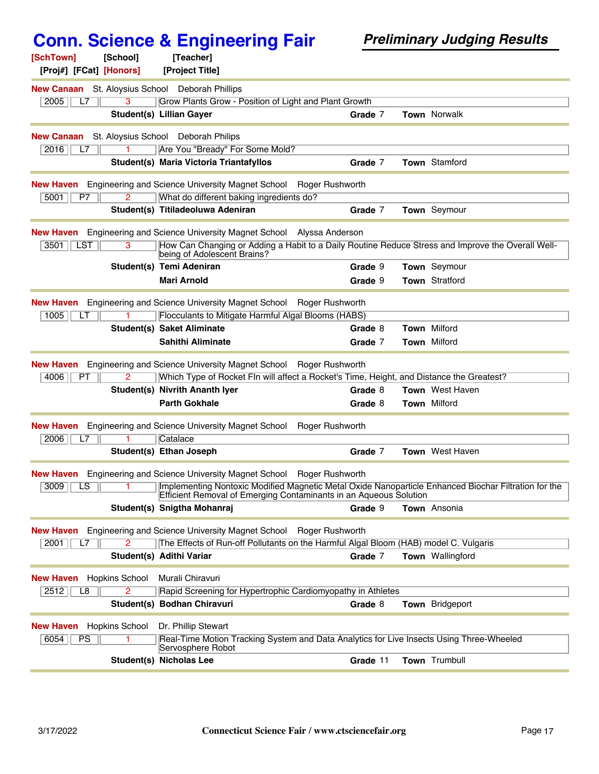| [SchTown]<br>[School]                                  | [Teacher]                                                                                                                                                                 |                 |                        |
|--------------------------------------------------------|---------------------------------------------------------------------------------------------------------------------------------------------------------------------------|-----------------|------------------------|
| [Proj#] [FCat] [Honors]                                | [Project Title]                                                                                                                                                           |                 |                        |
| <b>New Canaan</b> St. Aloysius School Deborah Phillips |                                                                                                                                                                           |                 |                        |
| 2005<br>3<br>L7                                        | Grow Plants Grow - Position of Light and Plant Growth                                                                                                                     |                 |                        |
|                                                        | <b>Student(s) Lillian Gayer</b>                                                                                                                                           | Grade 7         | <b>Town Norwalk</b>    |
| New Canaan                                             | St. Aloysius School Deborah Philips                                                                                                                                       |                 |                        |
| 2016<br>L7                                             | Are You "Bready" For Some Mold?                                                                                                                                           |                 |                        |
|                                                        | Student(s) Maria Victoria Triantafyllos                                                                                                                                   | Grade 7         | Town Stamford          |
| New Haven                                              | Engineering and Science University Magnet School                                                                                                                          | Roger Rushworth |                        |
| $\overline{2}$<br>5001<br>P7                           | What do different baking ingredients do?                                                                                                                                  |                 |                        |
|                                                        | Student(s) Titiladeoluwa Adeniran                                                                                                                                         | Grade 7         | Town Seymour           |
| New Haven                                              | Engineering and Science University Magnet School Alyssa Anderson                                                                                                          |                 |                        |
| <b>LST</b><br>3<br>3501                                | How Can Changing or Adding a Habit to a Daily Routine Reduce Stress and Improve the Overall Well-<br>being of Adolescent Brains?                                          |                 |                        |
|                                                        | Student(s) Temi Adeniran                                                                                                                                                  | Grade 9         | Town Seymour           |
|                                                        | <b>Mari Arnold</b>                                                                                                                                                        | Grade 9         | Town Stratford         |
| <b>New Haven</b>                                       | Engineering and Science University Magnet School                                                                                                                          |                 |                        |
| 1005<br>LТ                                             | Flocculants to Mitigate Harmful Algal Blooms (HABS)                                                                                                                       | Roger Rushworth |                        |
|                                                        | <b>Student(s) Saket Aliminate</b>                                                                                                                                         | Grade 8         | <b>Town Milford</b>    |
|                                                        | Sahithi Aliminate                                                                                                                                                         | Grade 7         | Town Milford           |
|                                                        |                                                                                                                                                                           |                 |                        |
| New Haven                                              | Engineering and Science University Magnet School Roger Rushworth                                                                                                          |                 |                        |
| 4006<br>РT                                             | Which Type of Rocket FIn will affect a Rocket's Time, Height, and Distance the Greatest?                                                                                  |                 |                        |
|                                                        | Student(s) Nivrith Ananth Iyer                                                                                                                                            | Grade 8         | <b>Town</b> West Haven |
|                                                        | <b>Parth Gokhale</b>                                                                                                                                                      | Grade 8         | Town Milford           |
| <b>New Haven</b>                                       | Engineering and Science University Magnet School                                                                                                                          | Roger Rushworth |                        |
| 2006<br>L7                                             | Catalace                                                                                                                                                                  |                 |                        |
|                                                        | Student(s) Ethan Joseph                                                                                                                                                   | Grade 7         | <b>Town</b> West Haven |
| <b>New Haven</b>                                       | Engineering and Science University Magnet School                                                                                                                          | Roger Rushworth |                        |
| 3009<br>LS<br>1.                                       | Implementing Nontoxic Modified Magnetic Metal Oxide Nanoparticle Enhanced Biochar Filtration for the<br>Efficient Removal of Emerging Contaminants in an Aqueous Solution |                 |                        |
|                                                        | Student(s) Snigtha Mohanrai                                                                                                                                               | Grade 9         | Town Ansonia           |
| <b>New Haven</b>                                       | Engineering and Science University Magnet School Roger Rushworth                                                                                                          |                 |                        |
| $\overline{2}$<br>2001<br>L7                           | The Effects of Run-off Pollutants on the Harmful Algal Bloom (HAB) model C. Vulgaris                                                                                      |                 |                        |
|                                                        | Student(s) Adithi Variar                                                                                                                                                  | Grade 7         | Town Wallingford       |
| <b>New Haven</b><br><b>Hopkins School</b>              | Murali Chiravuri                                                                                                                                                          |                 |                        |
| $\overline{2}$<br>2512<br>L8                           | Rapid Screening for Hypertrophic Cardiomyopathy in Athletes                                                                                                               |                 |                        |
|                                                        | Student(s) Bodhan Chiravuri                                                                                                                                               | Grade 8         | Town Bridgeport        |
|                                                        |                                                                                                                                                                           |                 |                        |
| <b>Hopkins School</b><br>New Haven<br>PS<br>6054<br>1  | Dr. Phillip Stewart<br>Real-Time Motion Tracking System and Data Analytics for Live Insects Using Three-Wheeled                                                           |                 |                        |
|                                                        | Servosphere Robot                                                                                                                                                         |                 |                        |
|                                                        | <b>Student(s) Nicholas Lee</b>                                                                                                                                            | Grade 11        | Town Trumbull          |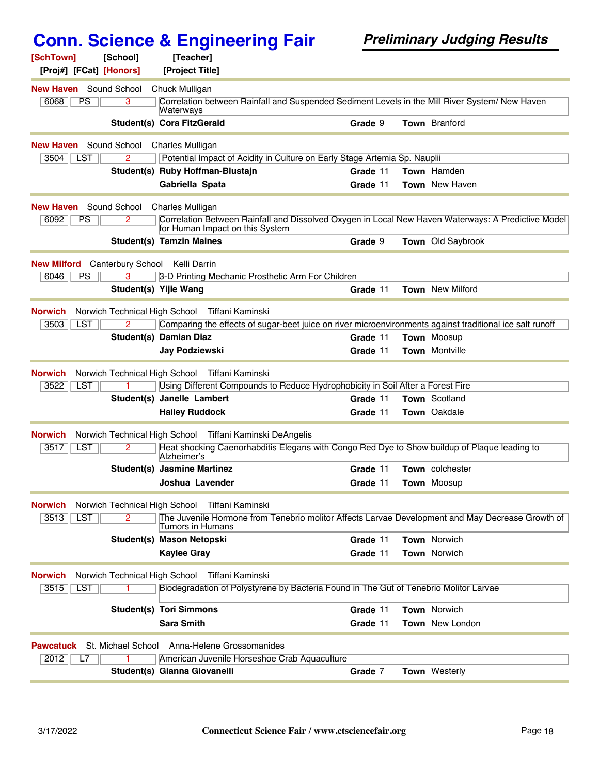| [SchTown]<br>[Proj#] [FCat] [Honors]           | [School]                            | [Teacher]<br>[Project Title]                                                          |          |  |                                                                                                          |
|------------------------------------------------|-------------------------------------|---------------------------------------------------------------------------------------|----------|--|----------------------------------------------------------------------------------------------------------|
| <b>New Haven</b> Sound School                  |                                     | Chuck Mulligan                                                                        |          |  |                                                                                                          |
| 6068<br>PS                                     | 3                                   | Waterways                                                                             |          |  | Correlation between Rainfall and Suspended Sediment Levels in the Mill River System/ New Haven           |
|                                                |                                     | <b>Student(s) Cora FitzGerald</b>                                                     | Grade 9  |  | <b>Town</b> Branford                                                                                     |
| <b>New Haven</b> Sound School Charles Mulligan |                                     |                                                                                       |          |  |                                                                                                          |
| 3504   LST                                     | 2                                   | Potential Impact of Acidity in Culture on Early Stage Artemia Sp. Nauplii             |          |  |                                                                                                          |
|                                                |                                     | Student(s) Ruby Hoffman-Blustajn                                                      | Grade 11 |  | Town Hamden                                                                                              |
|                                                |                                     | Gabriella Spata                                                                       | Grade 11 |  | <b>Town</b> New Haven                                                                                    |
| <b>New Haven</b>                               |                                     | Sound School Charles Mulligan                                                         |          |  |                                                                                                          |
| 6092<br><b>PS</b>                              | 2.                                  | for Human Impact on this System                                                       |          |  | Correlation Between Rainfall and Dissolved Oxygen in Local New Haven Waterways: A Predictive Model       |
|                                                |                                     | <b>Student(s) Tamzin Maines</b>                                                       | Grade 9  |  | <b>Town</b> Old Saybrook                                                                                 |
| <b>New Milford</b>                             | <b>Canterbury School</b>            | Kelli Darrin                                                                          |          |  |                                                                                                          |
| 6046<br><b>PS</b>                              |                                     | 3-D Printing Mechanic Prosthetic Arm For Children                                     |          |  |                                                                                                          |
|                                                |                                     | Student(s) Yijie Wang                                                                 | Grade 11 |  | <b>Town</b> New Milford                                                                                  |
| <b>Norwich</b>                                 | Norwich Technical High School       | Tiffani Kaminski                                                                      |          |  |                                                                                                          |
| 3503<br><b>LST</b>                             |                                     |                                                                                       |          |  | Comparing the effects of sugar-beet juice on river microenvironments against traditional ice salt runoff |
|                                                |                                     | <b>Student(s) Damian Diaz</b>                                                         | Grade 11 |  | <b>Town Moosup</b>                                                                                       |
|                                                |                                     | <b>Jay Podziewski</b>                                                                 | Grade 11 |  | <b>Town</b> Montville                                                                                    |
| <b>Norwich</b>                                 |                                     | Norwich Technical High School Tiffani Kaminski                                        |          |  |                                                                                                          |
| 3522<br><b>LST</b>                             |                                     | Using Different Compounds to Reduce Hydrophobicity in Soil After a Forest Fire        |          |  |                                                                                                          |
|                                                |                                     | Student(s) Janelle Lambert                                                            | Grade 11 |  | <b>Town</b> Scotland                                                                                     |
|                                                |                                     | <b>Hailey Ruddock</b>                                                                 | Grade 11 |  | Town Oakdale                                                                                             |
| <b>Norwich</b>                                 |                                     | Norwich Technical High School Tiffani Kaminski DeAngelis                              |          |  |                                                                                                          |
| 3517<br><b>LST</b>                             | 2.                                  | Alzheimer's                                                                           |          |  | Heat shocking Caenorhabditis Elegans with Congo Red Dye to Show buildup of Plaque leading to             |
|                                                |                                     | <b>Student(s) Jasmine Martinez</b>                                                    | Grade 11 |  | <b>Town</b> colchester                                                                                   |
|                                                |                                     | Joshua Lavender                                                                       | Grade 11 |  | <b>Town</b> Moosup                                                                                       |
| <b>Norwich</b><br>3513<br>LST                  | Norwich Technical High School<br>2. | Tiffani Kaminski                                                                      |          |  | The Juvenile Hormone from Tenebrio molitor Affects Larvae Development and May Decrease Growth of         |
|                                                |                                     | Tumors in Humans                                                                      |          |  |                                                                                                          |
|                                                |                                     | Student(s) Mason Netopski                                                             | Grade 11 |  | Town Norwich<br><b>Town Norwich</b>                                                                      |
|                                                |                                     | <b>Kaylee Gray</b>                                                                    | Grade 11 |  |                                                                                                          |
| <b>Norwich</b>                                 | Norwich Technical High School       | Tiffani Kaminski                                                                      |          |  |                                                                                                          |
| 3515<br><b>LST</b>                             |                                     | Biodegradation of Polystyrene by Bacteria Found in The Gut of Tenebrio Molitor Larvae |          |  |                                                                                                          |
|                                                |                                     | <b>Student(s) Tori Simmons</b>                                                        | Grade 11 |  | <b>Town Norwich</b>                                                                                      |
|                                                |                                     | <b>Sara Smith</b>                                                                     | Grade 11 |  | <b>Town</b> New London                                                                                   |
| <b>Pawcatuck</b>                               |                                     | St. Michael School Anna-Helene Grossomanides                                          |          |  |                                                                                                          |
| 2012<br>L7                                     |                                     | American Juvenile Horseshoe Crab Aquaculture                                          |          |  |                                                                                                          |
|                                                |                                     | Student(s) Gianna Giovanelli                                                          | Grade 7  |  | Town Westerly                                                                                            |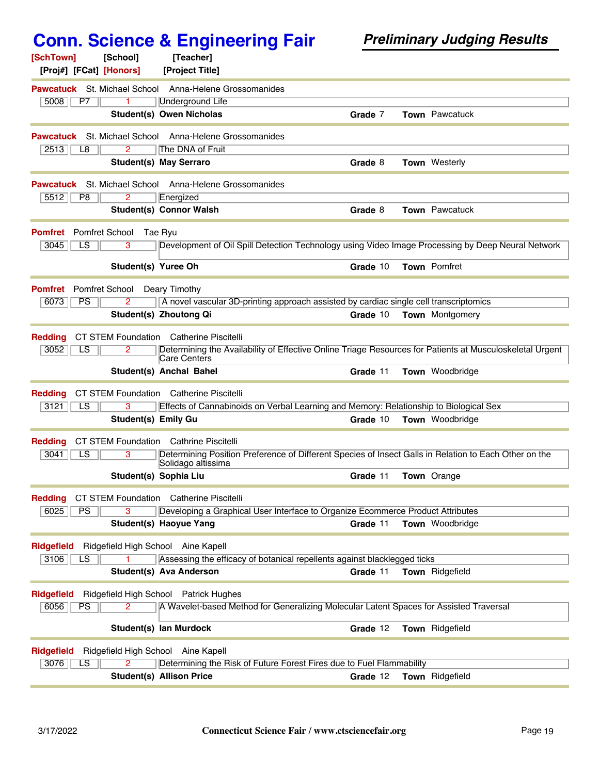| [SchTown]<br>[Proj#] [FCat] [Honors] | [School]                   | [Teacher]<br>[Project Title]                                                                                                |          |                        |
|--------------------------------------|----------------------------|-----------------------------------------------------------------------------------------------------------------------------|----------|------------------------|
| <b>Pawcatuck</b> St. Michael School  |                            | Anna-Helene Grossomanides                                                                                                   |          |                        |
| 5008<br>P7                           |                            | <b>Underground Life</b>                                                                                                     |          |                        |
|                                      |                            | Student(s) Owen Nicholas                                                                                                    | Grade 7  | <b>Town</b> Pawcatuck  |
| Pawcatuck                            | St. Michael School         | Anna-Helene Grossomanides                                                                                                   |          |                        |
| 2513<br>L <sub>8</sub>               | 2                          | The DNA of Fruit                                                                                                            |          |                        |
|                                      |                            | <b>Student(s) May Serraro</b>                                                                                               | Grade 8  | <b>Town</b> Westerly   |
| Pawcatuck                            |                            | St. Michael School Anna-Helene Grossomanides                                                                                |          |                        |
| 5512<br>P8                           | 2                          | Energized                                                                                                                   |          |                        |
|                                      |                            | <b>Student(s) Connor Walsh</b>                                                                                              | Grade 8  | Town Pawcatuck         |
| <b>Pomfret</b>                       | <b>Pomfret School</b>      | Tae Ryu                                                                                                                     |          |                        |
| 3045<br>LS                           | 3                          | Development of Oil Spill Detection Technology using Video Image Processing by Deep Neural Network                           |          |                        |
|                                      | Student(s) Yuree Oh        |                                                                                                                             | Grade 10 | Town Pomfret           |
| <b>Pomfret</b>                       | Pomfret School             | Deary Timothy                                                                                                               |          |                        |
| PS<br>6073                           | 2                          | A novel vascular 3D-printing approach assisted by cardiac single cell transcriptomics                                       |          |                        |
|                                      |                            | Student(s) Zhoutong Qi                                                                                                      | Grade 10 | <b>Town</b> Montgomery |
| <b>Redding</b>                       | CT STEM Foundation         | <b>Catherine Piscitelli</b>                                                                                                 |          |                        |
| 3052<br>LS                           | 2                          | Determining the Availability of Effective Online Triage Resources for Patients at Musculoskeletal Urgent                    |          |                        |
|                                      |                            | Care Centers                                                                                                                |          |                        |
|                                      |                            | Student(s) Anchal Bahel                                                                                                     | Grade 11 | Town Woodbridge        |
| <b>Redding</b>                       | CT STEM Foundation         | <b>Catherine Piscitelli</b>                                                                                                 |          |                        |
| 3121<br>LS                           |                            | Effects of Cannabinoids on Verbal Learning and Memory: Relationship to Biological Sex                                       |          |                        |
|                                      | <b>Student(s) Emily Gu</b> |                                                                                                                             | Grade 10 | <b>Town</b> Woodbridge |
| <b>Redding</b>                       |                            | <b>CT STEM Foundation</b> Cathrine Piscitelli                                                                               |          |                        |
| 3041<br>$\overline{\text{LS}}$       | 3                          | Determining Position Preference of Different Species of Insect Galls in Relation to Each Other on the<br>Solidago altissima |          |                        |
|                                      |                            | Student(s) Sophia Liu                                                                                                       | Grade 11 | <b>Town</b> Orange     |
| <b>Redding</b>                       |                            | CT STEM Foundation Catherine Piscitelli                                                                                     |          |                        |
| 6025<br>PS                           |                            | Developing a Graphical User Interface to Organize Ecommerce Product Attributes                                              |          |                        |
|                                      |                            | Student(s) Haoyue Yang                                                                                                      | Grade 11 | Town Woodbridge        |
| <b>Ridgefield</b>                    |                            | Ridgefield High School Aine Kapell                                                                                          |          |                        |
| 3106<br>LS                           |                            | Assessing the efficacy of botanical repellents against blacklegged ticks                                                    |          |                        |
|                                      |                            | <b>Student(s) Ava Anderson</b>                                                                                              | Grade 11 | Town Ridgefield        |
| <b>Ridgefield</b>                    |                            | Ridgefield High School Patrick Hughes                                                                                       |          |                        |
| 6056<br><b>PS</b>                    |                            | A Wavelet-based Method for Generalizing Molecular Latent Spaces for Assisted Traversal                                      |          |                        |
|                                      |                            | Student(s) lan Murdock                                                                                                      | Grade 12 | Town Ridgefield        |
| <b>Ridgefield</b>                    |                            | Ridgefield High School Aine Kapell                                                                                          |          |                        |
| 3076<br>LS                           |                            | Determining the Risk of Future Forest Fires due to Fuel Flammability                                                        |          |                        |
|                                      |                            | <b>Student(s) Allison Price</b>                                                                                             | Grade 12 | Town Ridgefield        |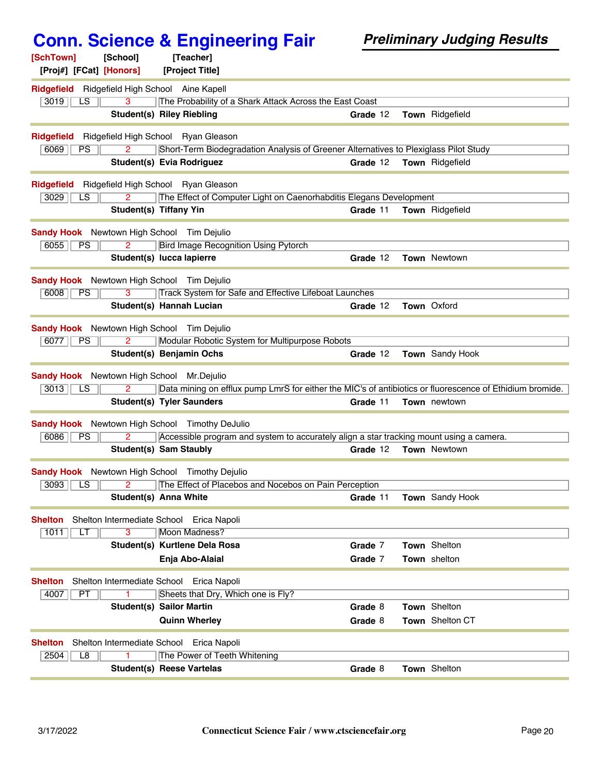| [SchTown]<br>[School]<br>[Proj#] [FCat] [Honors]      | [Teacher]<br>[Project Title]                                                                             |          |                        |
|-------------------------------------------------------|----------------------------------------------------------------------------------------------------------|----------|------------------------|
| Ridgefield Ridgefield High School Aine Kapell         |                                                                                                          |          |                        |
| 3<br>3019<br>LS                                       | The Probability of a Shark Attack Across the East Coast                                                  |          |                        |
|                                                       | <b>Student(s) Riley Riebling</b>                                                                         | Grade 12 | Town Ridgefield        |
| <b>Ridgefield</b>                                     | Ridgefield High School Ryan Gleason                                                                      |          |                        |
| 6069<br>2<br><b>PS</b>                                | Short-Term Biodegradation Analysis of Greener Alternatives to Plexiglass Pilot Study                     |          |                        |
|                                                       | Student(s) Evia Rodriguez                                                                                | Grade 12 | <b>Town</b> Ridgefield |
| <b>Ridgefield</b>                                     | Ridgefield High School Ryan Gleason                                                                      |          |                        |
| 3029<br>$\overline{2}$<br>LS.                         | The Effect of Computer Light on Caenorhabditis Elegans Development                                       |          |                        |
|                                                       | Student(s) Tiffany Yin                                                                                   | Grade 11 | Town Ridgefield        |
| <b>Sandy Hook</b> Newtown High School Tim Dejulio     |                                                                                                          |          |                        |
| 6055<br>PS<br>$\overline{2}$                          | <b>Bird Image Recognition Using Pytorch</b>                                                              |          |                        |
|                                                       | Student(s) lucca lapierre                                                                                | Grade 12 | <b>Town Newtown</b>    |
| <b>Sandy Hook</b> Newtown High School Tim Dejulio     |                                                                                                          |          |                        |
| 6008<br>PS<br>$\overline{3}$                          | Track System for Safe and Effective Lifeboat Launches                                                    |          |                        |
|                                                       | Student(s) Hannah Lucian                                                                                 | Grade 12 | <b>Town Oxford</b>     |
| <b>Sandy Hook</b> Newtown High School Tim Dejulio     |                                                                                                          |          |                        |
| 6077<br>PS<br>2                                       | Modular Robotic System for Multipurpose Robots                                                           |          |                        |
|                                                       | Student(s) Benjamin Ochs                                                                                 | Grade 12 | Town Sandy Hook        |
| <b>Sandy Hook</b> Newtown High School Mr.Dejulio      |                                                                                                          |          |                        |
| $3013$ $\overline{\phantom{a}}$ LS<br>$\overline{2}$  | Data mining on efflux pump LmrS for either the MIC's of antibiotics or fluorescence of Ethidium bromide. |          |                        |
|                                                       | <b>Student(s) Tyler Saunders</b>                                                                         | Grade 11 | Town newtown           |
| <b>Sandy Hook</b> Newtown High School Timothy DeJulio |                                                                                                          |          |                        |
| 6086<br>2<br><b>PS</b>                                | Accessible program and system to accurately align a star tracking mount using a camera.                  |          |                        |
|                                                       | <b>Student(s) Sam Staubly</b>                                                                            | Grade 12 | Town Newtown           |
| <b>Sandy Hook</b> Newtown High School Timothy Dejulio |                                                                                                          |          |                        |
| 3093<br>LS<br>$\overline{2}$                          |                                                                                                          |          |                        |
|                                                       | The Effect of Placebos and Nocebos on Pain Perception                                                    |          |                        |
|                                                       | Student(s) Anna White                                                                                    | Grade 11 | Town Sandy Hook        |
| Shelton Intermediate School<br><b>Shelton</b>         | Erica Napoli                                                                                             |          |                        |
| $\overline{3}$<br>1011<br>LТ                          | Moon Madness?                                                                                            |          |                        |
|                                                       | Student(s) Kurtlene Dela Rosa                                                                            | Grade 7  | Town Shelton           |
|                                                       | Enja Abo-Alaial                                                                                          | Grade 7  | Town shelton           |
| <b>Shelton</b>                                        | Shelton Intermediate School Erica Napoli                                                                 |          |                        |
| 4007<br><b>PT</b>                                     | Sheets that Dry, Which one is Fly?                                                                       |          |                        |
|                                                       | <b>Student(s) Sailor Martin</b>                                                                          | Grade 8  | Town Shelton           |
|                                                       | <b>Quinn Wherley</b>                                                                                     | Grade 8  | Town Shelton CT        |
| Shelton Intermediate School<br><b>Shelton</b>         | Erica Napoli                                                                                             |          |                        |
| 2504<br>L8                                            | The Power of Teeth Whitening<br><b>Student(s) Reese Vartelas</b>                                         |          |                        |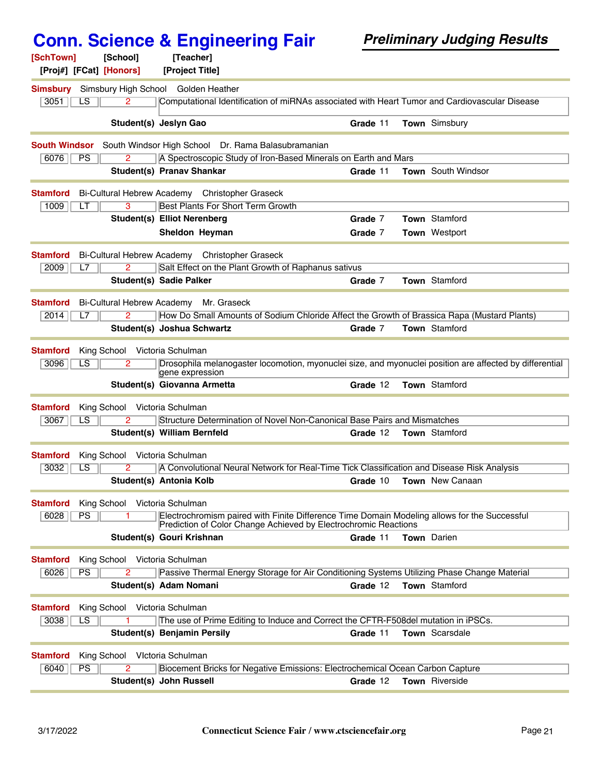| [SchTown]            | [School]                      | [Teacher]                                                                                                                                                       |          |                                                                                                         |
|----------------------|-------------------------------|-----------------------------------------------------------------------------------------------------------------------------------------------------------------|----------|---------------------------------------------------------------------------------------------------------|
|                      | [Proj#] [FCat] [Honors]       | [Project Title]                                                                                                                                                 |          |                                                                                                         |
| <b>Simsbury</b>      | Simsbury High School          | Golden Heather                                                                                                                                                  |          |                                                                                                         |
| 3051<br>LS           | $\mathbf{2}^{\mathsf{r}}$     | Computational Identification of miRNAs associated with Heart Tumor and Cardiovascular Disease                                                                   |          |                                                                                                         |
|                      |                               | Student(s) Jeslyn Gao                                                                                                                                           | Grade 11 | Town Simsbury                                                                                           |
| <b>South Windsor</b> |                               | South Windsor High School Dr. Rama Balasubramanian                                                                                                              |          |                                                                                                         |
| 6076<br>PS           |                               | A Spectroscopic Study of Iron-Based Minerals on Earth and Mars                                                                                                  |          |                                                                                                         |
|                      |                               | <b>Student(s) Pranav Shankar</b>                                                                                                                                | Grade 11 | Town South Windsor                                                                                      |
| <b>Stamford</b>      |                               | Bi-Cultural Hebrew Academy Christopher Graseck                                                                                                                  |          |                                                                                                         |
| 1009<br>LT           | 3                             | <b>Best Plants For Short Term Growth</b>                                                                                                                        |          |                                                                                                         |
|                      |                               | <b>Student(s) Elliot Nerenberg</b>                                                                                                                              | Grade 7  | <b>Town</b> Stamford                                                                                    |
|                      |                               | Sheldon Heyman                                                                                                                                                  | Grade 7  | <b>Town Westport</b>                                                                                    |
| <b>Stamford</b>      |                               | Bi-Cultural Hebrew Academy Christopher Graseck                                                                                                                  |          |                                                                                                         |
| 2009<br>L7           | 2                             | Salt Effect on the Plant Growth of Raphanus sativus                                                                                                             |          |                                                                                                         |
|                      |                               | <b>Student(s) Sadie Palker</b>                                                                                                                                  | Grade 7  | <b>Town</b> Stamford                                                                                    |
| <b>Stamford</b>      |                               | Bi-Cultural Hebrew Academy Mr. Graseck                                                                                                                          |          |                                                                                                         |
| 2014<br>L7           |                               | How Do Small Amounts of Sodium Chloride Affect the Growth of Brassica Rapa (Mustard Plants)                                                                     |          |                                                                                                         |
|                      |                               | Student(s) Joshua Schwartz                                                                                                                                      | Grade 7  | Town Stamford                                                                                           |
| <b>Stamford</b>      | King School Victoria Schulman |                                                                                                                                                                 |          |                                                                                                         |
| 3096<br>LS           | 2                             | gene expression                                                                                                                                                 |          | Drosophila melanogaster locomotion, myonuclei size, and myonuclei position are affected by differential |
|                      |                               | Student(s) Giovanna Armetta                                                                                                                                     | Grade 12 | Town Stamford                                                                                           |
| <b>Stamford</b>      | King School                   | Victoria Schulman                                                                                                                                               |          |                                                                                                         |
| 3067<br>LS.          | 2                             | Structure Determination of Novel Non-Canonical Base Pairs and Mismatches                                                                                        |          |                                                                                                         |
|                      |                               | Student(s) William Bernfeld                                                                                                                                     | Grade 12 | Town Stamford                                                                                           |
| <b>Stamford</b>      | King School Victoria Schulman |                                                                                                                                                                 |          |                                                                                                         |
| 3032<br>LS           |                               | A Convolutional Neural Network for Real-Time Tick Classification and Disease Risk Analysis                                                                      |          |                                                                                                         |
|                      |                               | Student(s) Antonia Kolb                                                                                                                                         | Grade 10 | Town New Canaan                                                                                         |
| <b>Stamford</b>      | King School                   | Victoria Schulman                                                                                                                                               |          |                                                                                                         |
| 6028<br>PS           |                               | Electrochromism paired with Finite Difference Time Domain Modeling allows for the Successful<br>Prediction of Color Change Achieved by Electrochromic Reactions |          |                                                                                                         |
|                      |                               | Student(s) Gouri Krishnan                                                                                                                                       | Grade 11 | <b>Town</b> Darien                                                                                      |
| <b>Stamford</b>      | King School                   | Victoria Schulman                                                                                                                                               |          |                                                                                                         |
| 6026<br>PS.          | 2                             | Passive Thermal Energy Storage for Air Conditioning Systems Utilizing Phase Change Material                                                                     |          |                                                                                                         |
|                      |                               | Student(s) Adam Nomani                                                                                                                                          | Grade 12 | <b>Town</b> Stamford                                                                                    |
| <b>Stamford</b>      | King School                   | Victoria Schulman                                                                                                                                               |          |                                                                                                         |
| 3038<br>LS           |                               | The use of Prime Editing to Induce and Correct the CFTR-F508del mutation in iPSCs.                                                                              |          |                                                                                                         |
|                      |                               | Student(s) Benjamin Persily                                                                                                                                     | Grade 11 | <b>Town</b> Scarsdale                                                                                   |
| <b>Stamford</b>      | King School                   | Vlctoria Schulman                                                                                                                                               |          |                                                                                                         |
| PS<br>6040           | 2                             | Biocement Bricks for Negative Emissions: Electrochemical Ocean Carbon Capture                                                                                   |          |                                                                                                         |
|                      |                               | Student(s) John Russell                                                                                                                                         | Grade 12 | Town Riverside                                                                                          |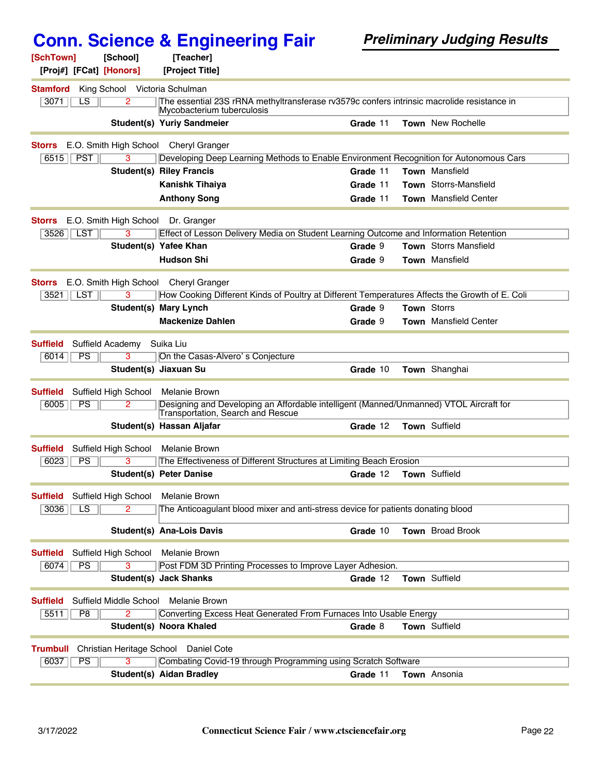| [SchTown]<br>[Proj#] [FCat] [Honors] | [School]               | [Teacher]<br>[Project Title]                                                                                                |          |                              |
|--------------------------------------|------------------------|-----------------------------------------------------------------------------------------------------------------------------|----------|------------------------------|
| <b>Stamford</b>                      | King School            | Victoria Schulman                                                                                                           |          |                              |
| 3071<br>LS                           | 2                      | The essential 23S rRNA methyltransferase rv3579c confers intrinsic macrolide resistance in<br>Mycobacterium tuberculosis    |          |                              |
|                                      |                        | Student(s) Yuriy Sandmeier                                                                                                  | Grade 11 | <b>Town</b> New Rochelle     |
| <b>Storrs</b>                        | E.O. Smith High School | <b>Cheryl Granger</b>                                                                                                       |          |                              |
| <b>PST</b><br>6515                   | $\overline{3}$         | Developing Deep Learning Methods to Enable Environment Recognition for Autonomous Cars                                      |          |                              |
|                                      |                        | <b>Student(s) Riley Francis</b>                                                                                             | Grade 11 | Town Mansfield               |
|                                      |                        | <b>Kanishk Tihaiya</b>                                                                                                      | Grade 11 | <b>Town</b> Storrs-Mansfield |
|                                      |                        | <b>Anthony Song</b>                                                                                                         | Grade 11 | Town Mansfield Center        |
| <b>Storrs</b>                        |                        | E.O. Smith High School Dr. Granger                                                                                          |          |                              |
| <b>LST</b><br>3526                   | 3                      | Effect of Lesson Delivery Media on Student Learning Outcome and Information Retention                                       |          |                              |
|                                      |                        | Student(s) Yafee Khan                                                                                                       | Grade 9  | <b>Town</b> Storrs Mansfield |
|                                      |                        | <b>Hudson Shi</b>                                                                                                           | Grade 9  | <b>Town</b> Mansfield        |
| <b>Storrs</b>                        | E.O. Smith High School | <b>Cheryl Granger</b>                                                                                                       |          |                              |
| <b>LST</b><br>3521                   | 3                      | How Cooking Different Kinds of Poultry at Different Temperatures Affects the Growth of E. Coli                              |          |                              |
|                                      | Student(s)             | <b>Mary Lynch</b>                                                                                                           | Grade 9  | <b>Town Storrs</b>           |
|                                      |                        | <b>Mackenize Dahlen</b>                                                                                                     | Grade 9  | <b>Town</b> Mansfield Center |
| <b>Suffield</b>                      | Suffield Academy       | Suika Liu                                                                                                                   |          |                              |
| PS<br>6014                           | 3                      | On the Casas-Alvero's Conjecture                                                                                            |          |                              |
|                                      |                        | Student(s) Jiaxuan Su                                                                                                       | Grade 10 | Town Shanghai                |
| <b>Suffield</b>                      | Suffield High School   | Melanie Brown                                                                                                               |          |                              |
| PS<br>6005                           | 2                      | Designing and Developing an Affordable intelligent (Manned/Unmanned) VTOL Aircraft for<br>Transportation, Search and Rescue |          |                              |
|                                      |                        | Student(s) Hassan Aljafar                                                                                                   | Grade 12 | Town Suffield                |
| <b>Suffield</b>                      | Suffield High School   | Melanie Brown                                                                                                               |          |                              |
| PS<br>6023                           | 3                      | The Effectiveness of Different Structures at Limiting Beach Erosion                                                         |          |                              |
|                                      |                        | <b>Student(s) Peter Danise</b>                                                                                              | Grade 12 | Town Suffield                |
| <b>Suffield</b>                      | Suffield High School   | Melanie Brown                                                                                                               |          |                              |
| LS<br>3036                           | $\overline{2}$         | The Anticoagulant blood mixer and anti-stress device for patients donating blood                                            |          |                              |
|                                      |                        | <b>Student(s) Ana-Lois Davis</b>                                                                                            | Grade 10 | <b>Town</b> Broad Brook      |
| <b>Suffield</b>                      | Suffield High School   | <b>Melanie Brown</b>                                                                                                        |          |                              |
| PS<br>6074                           | 3                      | Post FDM 3D Printing Processes to Improve Layer Adhesion.                                                                   |          |                              |
|                                      |                        | <b>Student(s) Jack Shanks</b>                                                                                               | Grade 12 | Town Suffield                |
| <b>Suffield</b>                      | Suffield Middle School | Melanie Brown                                                                                                               |          |                              |
| 5511<br>P <sub>8</sub>               | 2                      | Converting Excess Heat Generated From Furnaces Into Usable Energy                                                           |          |                              |
|                                      |                        | Student(s) Noora Khaled                                                                                                     | Grade 8  | Town Suffield                |
| <b>Trumbull</b>                      |                        | Christian Heritage School Daniel Cote                                                                                       |          |                              |
| 6037<br>PS                           | 3                      | Combating Covid-19 through Programming using Scratch Software                                                               |          |                              |
|                                      |                        | <b>Student(s) Aidan Bradley</b>                                                                                             | Grade 11 | Town Ansonia                 |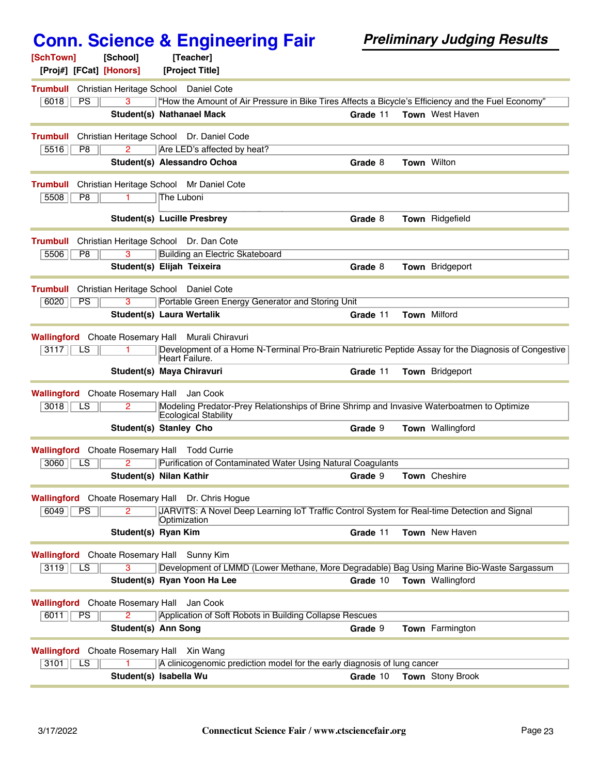| [SchTown]<br>[School]<br>[Proj#] [FCat] [Honors]         | <b>Conn. Science &amp; Engineering Fair</b><br>[Teacher]<br>[Project Title]                          |          | <b>Preliminary Judging Results</b> |
|----------------------------------------------------------|------------------------------------------------------------------------------------------------------|----------|------------------------------------|
| <b>Trumbull</b><br>Christian Heritage School Daniel Cote |                                                                                                      |          |                                    |
| 6018<br>PS                                               | "How the Amount of Air Pressure in Bike Tires Affects a Bicycle's Efficiency and the Fuel Economy"   |          |                                    |
|                                                          | Student(s) Nathanael Mack                                                                            | Grade 11 | Town West Haven                    |
|                                                          |                                                                                                      |          |                                    |
| <b>Trumbull</b><br>5516<br>P <sub>8</sub><br>2           | Christian Heritage School Dr. Daniel Code<br>Are LED's affected by heat?                             |          |                                    |
|                                                          | Student(s) Alessandro Ochoa                                                                          | Grade 8  | <b>Town Wilton</b>                 |
|                                                          |                                                                                                      |          |                                    |
| <b>Trumbull</b>                                          | Christian Heritage School Mr Daniel Cote                                                             |          |                                    |
| 5508<br>$\overline{P8}$                                  | The Luboni                                                                                           |          |                                    |
|                                                          | <b>Student(s) Lucille Presbrey</b>                                                                   | Grade 8  | Town Ridgefield                    |
| <b>Trumbull</b>                                          | Christian Heritage School Dr. Dan Cote                                                               |          |                                    |
| 5506<br>P <sub>8</sub>                                   | Building an Electric Skateboard                                                                      |          |                                    |
|                                                          | Student(s) Elijah Teixeira                                                                           | Grade 8  | Town Bridgeport                    |
| <b>Trumbull</b><br>Christian Heritage School Daniel Cote |                                                                                                      |          |                                    |
| 6020<br><b>PS</b><br>3                                   | Portable Green Energy Generator and Storing Unit                                                     |          |                                    |
|                                                          | Student(s) Laura Wertalik                                                                            | Grade 11 | <b>Town Milford</b>                |
| <b>Wallingford</b> Choate Rosemary Hall                  | Murali Chiravuri                                                                                     |          |                                    |
| 3117<br>LS.                                              | Development of a Home N-Terminal Pro-Brain Natriuretic Peptide Assay for the Diagnosis of Congestive |          |                                    |
|                                                          | Heart Failure.                                                                                       |          |                                    |
|                                                          | Student(s) Maya Chiravuri                                                                            | Grade 11 | Town Bridgeport                    |
| <b>Wallingford</b> Choate Rosemary Hall Jan Cook         |                                                                                                      |          |                                    |
| 3018<br>LS                                               | Modeling Predator-Prey Relationships of Brine Shrimp and Invasive Waterboatmen to Optimize           |          |                                    |
|                                                          | Ecological Stability<br>Student(s) Stanley Cho                                                       | Grade 9  | Town Wallingford                   |
|                                                          |                                                                                                      |          |                                    |
| <b>Wallingford</b> Choate Rosemary Hall Todd Currie      |                                                                                                      |          |                                    |
|                                                          | 3060   LS   2   Purification of Contaminated Water Using Natural Coagulants                          |          |                                    |
|                                                          | Student(s) Nilan Kathir                                                                              | Grade 9  | Town Cheshire                      |
| Wallingford Choate Rosemary Hall Dr. Chris Hogue         |                                                                                                      |          |                                    |
| 6049<br>PS<br>$\overline{2}$                             | JARVITS: A Novel Deep Learning IoT Traffic Control System for Real-time Detection and Signal         |          |                                    |
|                                                          | Optimization                                                                                         |          |                                    |
| Student(s) Ryan Kim                                      |                                                                                                      | Grade 11 | Town New Haven                     |
| <b>Wallingford</b> Choate Rosemary Hall Sunny Kim        |                                                                                                      |          |                                    |
| $\overline{3}$<br>3119<br>LS                             | Development of LMMD (Lower Methane, More Degradable) Bag Using Marine Bio-Waste Sargassum            |          |                                    |
|                                                          | Student(s) Ryan Yoon Ha Lee                                                                          | Grade 10 | Town Wallingford                   |
| <b>Wallingford</b> Choate Rosemary Hall                  | Jan Cook                                                                                             |          |                                    |
| $\overline{2}$<br>PS<br>6011                             | Application of Soft Robots in Building Collapse Rescues                                              |          |                                    |
| Student(s) Ann Song                                      |                                                                                                      | Grade 9  | Town Farmington                    |
| <b>Wallingford</b> Choate Rosemary Hall Xin Wang         |                                                                                                      |          |                                    |
| 3101<br>LS                                               | A clinicogenomic prediction model for the early diagnosis of lung cancer                             |          |                                    |
|                                                          | Student(s) Isabella Wu                                                                               | Grade 10 | Town Stony Brook                   |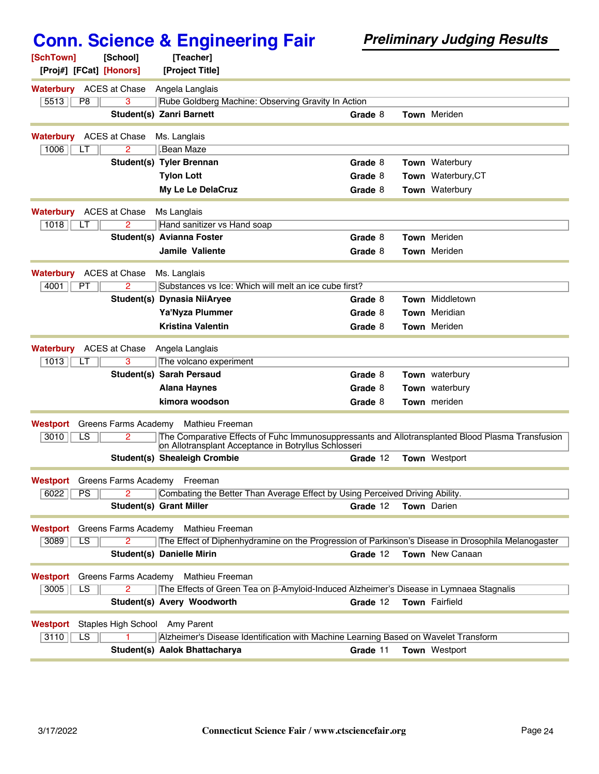| [SchTown]<br>[Proj#] [FCat] [Honors] | [School]             | [Teacher]<br>[Project Title]                                                                                                                             |          |                       |
|--------------------------------------|----------------------|----------------------------------------------------------------------------------------------------------------------------------------------------------|----------|-----------------------|
| <b>Waterbury</b> ACES at Chase       |                      | Angela Langlais                                                                                                                                          |          |                       |
| 5513<br>P <sub>8</sub>               | 3                    | Rube Goldberg Machine: Observing Gravity In Action                                                                                                       |          |                       |
|                                      |                      | <b>Student(s) Zanri Barnett</b>                                                                                                                          | Grade 8  | <b>Town</b> Meriden   |
| <b>Waterbury</b>                     | <b>ACES at Chase</b> | Ms. Langlais                                                                                                                                             |          |                       |
| 1006<br>LТ                           | 2                    | Bean Maze.                                                                                                                                               |          |                       |
|                                      |                      | <b>Student(s) Tyler Brennan</b>                                                                                                                          | Grade 8  | Town Waterbury        |
|                                      |                      | <b>Tylon Lott</b>                                                                                                                                        | Grade 8  | Town Waterbury, CT    |
|                                      |                      | My Le Le DelaCruz                                                                                                                                        | Grade 8  | Town Waterbury        |
| Waterbury                            | ACES at Chase        | Ms Langlais                                                                                                                                              |          |                       |
| 1018<br>LT                           | 2                    | Hand sanitizer vs Hand soap                                                                                                                              |          |                       |
|                                      |                      | Student(s) Avianna Foster                                                                                                                                | Grade 8  | <b>Town</b> Meriden   |
|                                      |                      | Jamile Valiente                                                                                                                                          | Grade 8  | <b>Town</b> Meriden   |
| <b>Waterbury</b>                     | ACES at Chase        | Ms. Langlais                                                                                                                                             |          |                       |
| 4001<br>PT                           | 2                    | Substances vs Ice: Which will melt an ice cube first?                                                                                                    |          |                       |
|                                      |                      | Student(s) Dynasia NiiAryee                                                                                                                              | Grade 8  | Town Middletown       |
|                                      |                      | Ya'Nyza Plummer                                                                                                                                          | Grade 8  | Town Meridian         |
|                                      |                      | <b>Kristina Valentin</b>                                                                                                                                 | Grade 8  | Town Meriden          |
| <b>Waterbury</b>                     | <b>ACES at Chase</b> | Angela Langlais                                                                                                                                          |          |                       |
| 1013<br>LT                           | 3                    | The volcano experiment                                                                                                                                   |          |                       |
|                                      |                      | <b>Student(s) Sarah Persaud</b>                                                                                                                          | Grade 8  | <b>Town</b> waterbury |
|                                      |                      | <b>Alana Haynes</b>                                                                                                                                      | Grade 8  | Town waterbury        |
|                                      |                      | kimora woodson                                                                                                                                           | Grade 8  | <b>Town</b> meriden   |
| Westport                             | Greens Farms Academy | Mathieu Freeman                                                                                                                                          |          |                       |
| 3010<br>$\overline{\text{LS}}$       | $\overline{2}$       | The Comparative Effects of Fuhc Immunosuppressants and Allotransplanted Blood Plasma Transfusion<br>on Allotransplant Acceptance in Botryllus Schlosseri |          |                       |
|                                      |                      | <b>Student(s) Shealeigh Crombie</b>                                                                                                                      | Grade 12 | <b>Town</b> Westport  |
|                                      |                      | <b>Westport</b> Greens Farms Academy Freeman                                                                                                             |          |                       |
| $\boxed{6022}$ $\boxed{PS}$          |                      | Combating the Better Than Average Effect by Using Perceived Driving Ability.                                                                             |          |                       |
|                                      |                      | Student(s) Grant Miller                                                                                                                                  | Grade 12 | <b>Town</b> Darien    |
| <b>Westport</b> Greens Farms Academy |                      | Mathieu Freeman                                                                                                                                          |          |                       |
| 3089<br>LS.                          | 2.                   | The Effect of Diphenhydramine on the Progression of Parkinson's Disease in Drosophila Melanogaster                                                       |          |                       |
|                                      |                      | <b>Student(s) Danielle Mirin</b>                                                                                                                         | Grade 12 | Town New Canaan       |
| Westport                             | Greens Farms Academy | Mathieu Freeman                                                                                                                                          |          |                       |
| LS<br>3005                           | $\overline{2}$       | The Effects of Green Tea on ß-Amyloid-Induced Alzheimer's Disease in Lymnaea Stagnalis                                                                   |          |                       |
|                                      |                      | Student(s) Avery Woodworth                                                                                                                               | Grade 12 | <b>Town</b> Fairfield |
| Westport                             |                      | Staples High School Amy Parent                                                                                                                           |          |                       |
| $\overline{\text{LS}}$<br>3110       |                      | Alzheimer's Disease Identification with Machine Learning Based on Wavelet Transform                                                                      |          |                       |
|                                      |                      | Student(s) Aalok Bhattacharya                                                                                                                            | Grade 11 | Town Westport         |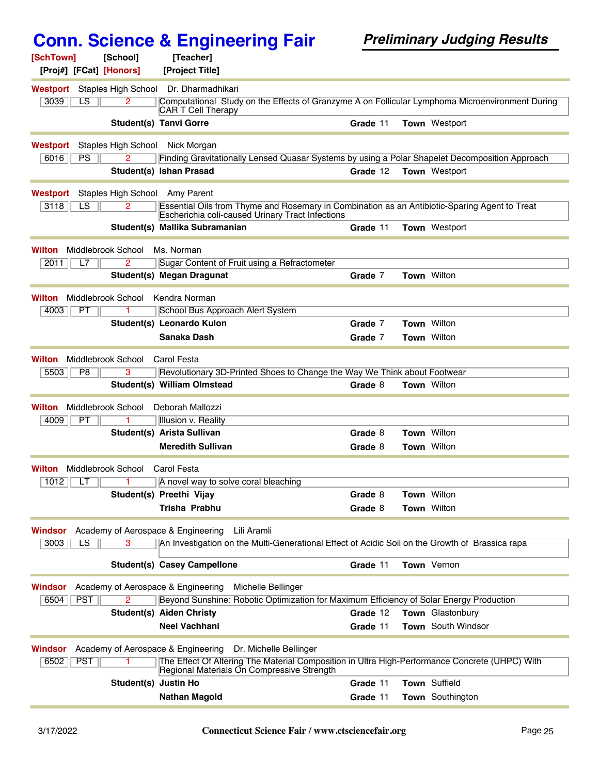| [SchTown]               | [School]                   | [Teacher]                                                                                                                                         |          |  |                      |
|-------------------------|----------------------------|---------------------------------------------------------------------------------------------------------------------------------------------------|----------|--|----------------------|
| [Proj#] [FCat] [Honors] |                            | [Project Title]                                                                                                                                   |          |  |                      |
| Westport                | Staples High School        | Dr. Dharmadhikari                                                                                                                                 |          |  |                      |
| 3039<br>LS              | 2                          | Computational Study on the Effects of Granzyme A on Follicular Lymphoma Microenvironment During<br>CAR T Cell Therapy                             |          |  |                      |
|                         |                            | <b>Student(s) Tanvi Gorre</b>                                                                                                                     | Grade 11 |  | <b>Town</b> Westport |
| <b>Westport</b>         | <b>Staples High School</b> | Nick Morgan                                                                                                                                       |          |  |                      |
| 6016<br>PS              | 2                          | Finding Gravitationally Lensed Quasar Systems by using a Polar Shapelet Decomposition Approach                                                    |          |  |                      |
|                         |                            | Student(s) Ishan Prasad                                                                                                                           | Grade 12 |  | Town Westport        |
| Westport                |                            | Staples High School Amy Parent                                                                                                                    |          |  |                      |
| LS<br>3118              | 2.                         | Essential Oils from Thyme and Rosemary in Combination as an Antibiotic-Sparing Agent to Treat<br>Escherichia coli-caused Urinary Tract Infections |          |  |                      |
|                         |                            | Student(s) Mallika Subramanian                                                                                                                    | Grade 11 |  | <b>Town Westport</b> |
| Wilton                  | Middlebrook School         | Ms. Norman                                                                                                                                        |          |  |                      |
| 2011<br>L7              | 2                          | Sugar Content of Fruit using a Refractometer                                                                                                      |          |  |                      |
|                         |                            | <b>Student(s) Megan Dragunat</b>                                                                                                                  | Grade 7  |  | Town Wilton          |
| Wilton                  | Middlebrook School         | Kendra Norman                                                                                                                                     |          |  |                      |
| 4003<br>PT              |                            | School Bus Approach Alert System                                                                                                                  |          |  |                      |
|                         |                            | Student(s) Leonardo Kulon                                                                                                                         | Grade 7  |  | Town Wilton          |
|                         |                            | Sanaka Dash                                                                                                                                       | Grade 7  |  | Town Wilton          |
| Wilton                  | Middlebrook School         | Carol Festa                                                                                                                                       |          |  |                      |
| 5503<br>P8              | 3                          | Revolutionary 3D-Printed Shoes to Change the Way We Think about Footwear                                                                          |          |  |                      |
|                         |                            | Student(s) William Olmstead                                                                                                                       | Grade 8  |  | <b>Town Wilton</b>   |
| Wilton                  | Middlebrook School         | Deborah Mallozzi                                                                                                                                  |          |  |                      |
| 4009<br>PT              |                            | Illusion v. Reality                                                                                                                               |          |  |                      |
|                         |                            | Student(s) Arista Sullivan                                                                                                                        | Grade 8  |  | Town Wilton          |
|                         |                            | <b>Meredith Sullivan</b>                                                                                                                          | Grade 8  |  | <b>Town Wilton</b>   |
| Wilton                  | Middlebrook School         | Carol Festa                                                                                                                                       |          |  |                      |
| 1012<br>LТ              | 1                          | A novel way to solve coral bleaching                                                                                                              |          |  |                      |
|                         |                            | Student(s) Preethi Vijay                                                                                                                          | Grade 8  |  | Town Wilton          |
|                         |                            | Trisha Prabhu                                                                                                                                     | Grade 8  |  | Town Wilton          |
| Windsor                 |                            | Academy of Aerospace & Engineering<br>Lili Aramli                                                                                                 |          |  |                      |
| 3003<br>LS              |                            | An Investigation on the Multi-Generational Effect of Acidic Soil on the Growth of Brassica rapa                                                   |          |  |                      |
|                         |                            | <b>Student(s) Casey Campellone</b>                                                                                                                | Grade 11 |  | Town Vernon          |
| Windsor                 |                            | Academy of Aerospace & Engineering<br>Michelle Bellinger                                                                                          |          |  |                      |
| <b>PST</b><br>6504      | $\overline{2}$             | Beyond Sunshine: Robotic Optimization for Maximum Efficiency of Solar Energy Production                                                           |          |  |                      |
|                         |                            | <b>Student(s) Aiden Christy</b>                                                                                                                   | Grade 12 |  | Town Glastonbury     |
|                         |                            | Neel Vachhani                                                                                                                                     | Grade 11 |  | Town South Windsor   |
| Windsor                 |                            | Academy of Aerospace & Engineering<br>Dr. Michelle Bellinger                                                                                      |          |  |                      |
| <b>PST</b><br>6502      |                            | The Effect Of Altering The Material Composition in Ultra High-Performance Concrete (UHPC) With<br>Regional Materials On Compressive Strength      |          |  |                      |
|                         |                            | Student(s) Justin Ho                                                                                                                              | Grade 11 |  | Town Suffield        |
|                         |                            | <b>Nathan Magold</b>                                                                                                                              | Grade 11 |  | Town Southington     |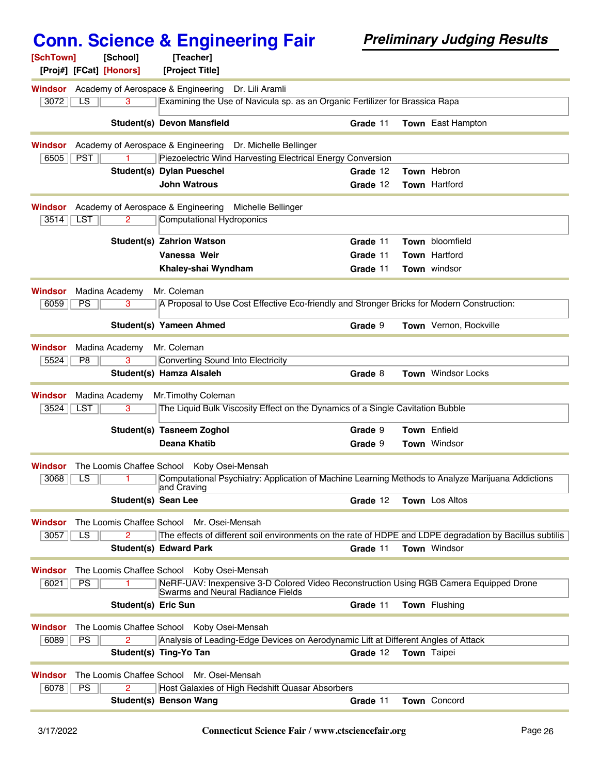|                                                      | <b>Conn. Science &amp; Engineering Fair</b>                                                                      | <b>Preliminary Judging Results</b> |  |                           |  |
|------------------------------------------------------|------------------------------------------------------------------------------------------------------------------|------------------------------------|--|---------------------------|--|
| [SchTown]<br>[School]                                | [Teacher]                                                                                                        |                                    |  |                           |  |
| [Proj#] [FCat] [Honors]                              | [Project Title]                                                                                                  |                                    |  |                           |  |
| Academy of Aerospace & Engineering<br><b>Windsor</b> | Dr. Lili Aramli                                                                                                  |                                    |  |                           |  |
| LS<br>$\overline{3}$<br>3072                         | Examining the Use of Navicula sp. as an Organic Fertilizer for Brassica Rapa                                     |                                    |  |                           |  |
|                                                      | <b>Student(s) Devon Mansfield</b>                                                                                | Grade 11                           |  | Town East Hampton         |  |
| Academy of Aerospace & Engineering<br>Windsor        | Dr. Michelle Bellinger                                                                                           |                                    |  |                           |  |
| <b>PST</b><br>6505                                   | Piezoelectric Wind Harvesting Electrical Energy Conversion                                                       |                                    |  |                           |  |
|                                                      | Student(s) Dylan Pueschel                                                                                        | Grade 12                           |  | Town Hebron               |  |
|                                                      | <b>John Watrous</b>                                                                                              | Grade 12                           |  | Town Hartford             |  |
| Academy of Aerospace & Engineering<br>Windsor        | Michelle Bellinger                                                                                               |                                    |  |                           |  |
| <b>LST</b><br>2<br>3514                              | Computational Hydroponics                                                                                        |                                    |  |                           |  |
|                                                      | <b>Student(s) Zahrion Watson</b>                                                                                 | Grade 11                           |  | Town bloomfield           |  |
|                                                      | Vanessa Weir                                                                                                     | Grade 11                           |  | Town Hartford             |  |
|                                                      | Khaley-shai Wyndham                                                                                              | Grade 11                           |  | Town windsor              |  |
|                                                      |                                                                                                                  |                                    |  |                           |  |
| <b>Windsor</b><br>Madina Academy                     | Mr. Coleman                                                                                                      |                                    |  |                           |  |
| PS<br>6059<br>3                                      | A Proposal to Use Cost Effective Eco-friendly and Stronger Bricks for Modern Construction:                       |                                    |  |                           |  |
|                                                      | Student(s) Yameen Ahmed                                                                                          | Grade 9                            |  | Town Vernon, Rockville    |  |
| Madina Academy<br><b>Windsor</b>                     | Mr. Coleman                                                                                                      |                                    |  |                           |  |
| 3<br>5524<br>P <sub>8</sub>                          | Converting Sound Into Electricity                                                                                |                                    |  |                           |  |
|                                                      | Student(s) Hamza Alsaleh                                                                                         | Grade 8                            |  | <b>Town</b> Windsor Locks |  |
| Madina Academy<br><b>Windsor</b>                     | Mr. Timothy Coleman                                                                                              |                                    |  |                           |  |
| 3524<br><b>LST</b><br>3                              | The Liquid Bulk Viscosity Effect on the Dynamics of a Single Cavitation Bubble                                   |                                    |  |                           |  |
|                                                      | Student(s) Tasneem Zoghol                                                                                        | Grade 9                            |  | Town Enfield              |  |
|                                                      | <b>Deana Khatib</b>                                                                                              | Grade 9                            |  | Town Windsor              |  |
|                                                      |                                                                                                                  |                                    |  |                           |  |
| <b>Windsor</b>                                       | The Loomis Chaffee School Koby Osei-Mensah                                                                       |                                    |  |                           |  |
| 3068<br>$\overline{LS}$                              | Computational Psychiatry: Application of Machine Learning Methods to Analyze Marijuana Addictions<br>and Craving |                                    |  |                           |  |
| Student(s) Sean Lee                                  |                                                                                                                  | Grade 12                           |  | Town Los Altos            |  |
| The Loomis Chaffee School<br><b>Windsor</b>          | Mr. Osei-Mensah                                                                                                  |                                    |  |                           |  |
| 3057<br>LS<br>2                                      | The effects of different soil environments on the rate of HDPE and LDPE degradation by Bacillus subtilis         |                                    |  |                           |  |
|                                                      | <b>Student(s) Edward Park</b>                                                                                    | Grade 11                           |  | Town Windsor              |  |
| Windsor                                              | The Loomis Chaffee School Koby Osei-Mensah                                                                       |                                    |  |                           |  |
| PS<br>6021                                           | NeRF-UAV: Inexpensive 3-D Colored Video Reconstruction Using RGB Camera Equipped Drone                           |                                    |  |                           |  |
|                                                      | Swarms and Neural Radiance Fields                                                                                |                                    |  |                           |  |
| Student(s) Eric Sun                                  |                                                                                                                  | Grade 11                           |  | Town Flushing             |  |
| Windsor                                              | The Loomis Chaffee School Koby Osei-Mensah                                                                       |                                    |  |                           |  |
| 6089<br>PS                                           | Analysis of Leading-Edge Devices on Aerodynamic Lift at Different Angles of Attack                               |                                    |  |                           |  |
|                                                      | Student(s) Ting-Yo Tan                                                                                           | Grade 12                           |  | <b>Town</b> Taipei        |  |
| The Loomis Chaffee School<br><b>Windsor</b>          | Mr. Osei-Mensah                                                                                                  |                                    |  |                           |  |
| PS<br>6078<br>2                                      | Host Galaxies of High Redshift Quasar Absorbers                                                                  |                                    |  |                           |  |
|                                                      | Student(s) Benson Wang                                                                                           | Grade 11                           |  | Town Concord              |  |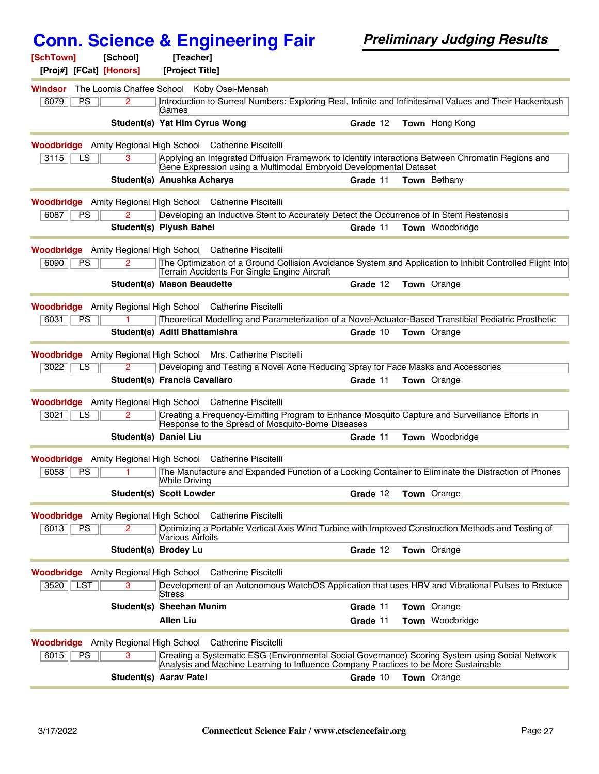| [SchTown]<br>[School]<br>[Proj#] [FCat] [Honors] | [Teacher]<br>[Project Title]                                                             |                                                                                                           |
|--------------------------------------------------|------------------------------------------------------------------------------------------|-----------------------------------------------------------------------------------------------------------|
| Windsor<br>6079<br>PS<br>2                       | The Loomis Chaffee School Koby Osei-Mensah<br>Games                                      | Introduction to Surreal Numbers: Exploring Real, Infinite and Infinitesimal Values and Their Hackenbush   |
|                                                  | Student(s) Yat Him Cyrus Wong                                                            | Town Hong Kong<br>Grade 12                                                                                |
|                                                  | <b>Woodbridge</b> Amity Regional High School Catherine Piscitelli                        |                                                                                                           |
| 3115<br>LS<br>3                                  | Gene Expression using a Multimodal Embryoid Developmental Dataset                        | Applying an Integrated Diffusion Framework to Identify interactions Between Chromatin Regions and         |
|                                                  | Student(s) Anushka Acharya                                                               | Grade 11<br><b>Town</b> Bethany                                                                           |
|                                                  | <b>Woodbridge</b> Amity Regional High School Catherine Piscitelli                        |                                                                                                           |
| 6087<br>PS                                       | Developing an Inductive Stent to Accurately Detect the Occurrence of In Stent Restenosis |                                                                                                           |
|                                                  | Student(s) Piyush Bahel                                                                  | Town Woodbridge<br>Grade 11                                                                               |
|                                                  | <b>Woodbridge</b> Amity Regional High School Catherine Piscitelli                        |                                                                                                           |
| 6090<br>PS<br>$\overline{2}$                     | Terrain Accidents For Single Engine Aircraft                                             | The Optimization of a Ground Collision Avoidance System and Application to Inhibit Controlled Flight Into |
|                                                  | <b>Student(s) Mason Beaudette</b>                                                        | <b>Town</b> Orange<br>Grade 12                                                                            |
|                                                  | <b>Woodbridge</b> Amity Regional High School Catherine Piscitelli                        |                                                                                                           |
| 6031<br><b>PS</b>                                |                                                                                          | Theoretical Modelling and Parameterization of a Novel-Actuator-Based Transtibial Pediatric Prosthetic     |
|                                                  | Student(s) Aditi Bhattamishra                                                            | <b>Town</b> Orange<br>Grade 10                                                                            |
|                                                  | <b>Woodbridge</b> Amity Regional High School Mrs. Catherine Piscitelli                   |                                                                                                           |
| 3022<br><b>LS</b>                                | Developing and Testing a Novel Acne Reducing Spray for Face Masks and Accessories        |                                                                                                           |
|                                                  | <b>Student(s) Francis Cavallaro</b>                                                      | Grade 11<br>Town Orange                                                                                   |
|                                                  | <b>Woodbridge</b> Amity Regional High School Catherine Piscitelli                        |                                                                                                           |
| 3021<br>LS<br>2                                  | Response to the Spread of Mosquito-Borne Diseases                                        | Creating a Frequency-Emitting Program to Enhance Mosquito Capture and Surveillance Efforts in             |
|                                                  | <b>Student(s) Daniel Liu</b>                                                             | <b>Town</b> Woodbridge<br>Grade 11                                                                        |
|                                                  | <b>Woodbridge</b> Amity Regional High School Catherine Piscitelli                        |                                                                                                           |
| 6058<br><b>PS</b>                                | <b>While Driving</b>                                                                     | The Manufacture and Expanded Function of a Locking Container to Eliminate the Distraction of Phones       |
|                                                  | <b>Student(s) Scott Lowder</b>                                                           | Grade 12 Town Orange                                                                                      |
|                                                  | <b>Woodbridge</b> Amity Regional High School Catherine Piscitelli                        |                                                                                                           |
| PS<br>6013<br>2                                  | Various Airfoils                                                                         | Optimizing a Portable Vertical Axis Wind Turbine with Improved Construction Methods and Testing of        |
|                                                  | <b>Student(s) Brodey Lu</b>                                                              | Town Orange<br>Grade 12                                                                                   |
|                                                  | <b>Woodbridge</b> Amity Regional High School Catherine Piscitelli                        |                                                                                                           |
| 3520   LST<br>3                                  | Stress                                                                                   | Development of an Autonomous WatchOS Application that uses HRV and Vibrational Pulses to Reduce           |
|                                                  | Student(s) Sheehan Munim                                                                 | Town Orange<br>Grade 11                                                                                   |
|                                                  | <b>Allen Liu</b>                                                                         | Town Woodbridge<br>Grade 11                                                                               |
|                                                  | <b>Woodbridge</b> Amity Regional High School Catherine Piscitelli                        |                                                                                                           |
| 6015<br>$\overline{3}$<br><b>PS</b>              | Analysis and Machine Learning to Influence Company Practices to be More Sustainable      | Creating a Systematic ESG (Environmental Social Governance) Scoring System using Social Network           |
|                                                  | Student(s) Aarav Patel                                                                   | Grade 10<br><b>Town</b> Orange                                                                            |
|                                                  |                                                                                          |                                                                                                           |